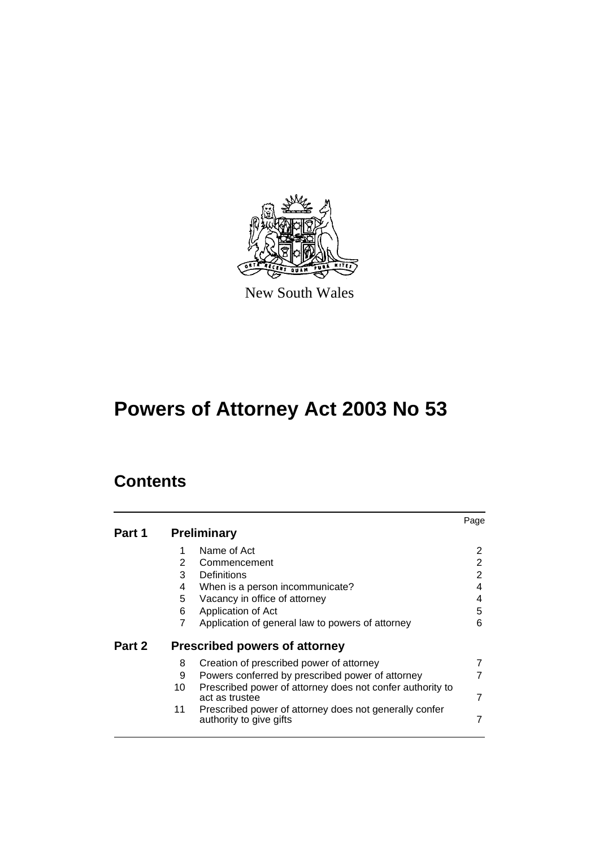

New South Wales

# **Powers of Attorney Act 2003 No 53**

# **Contents**

|        |                |                                                                                   | Page |
|--------|----------------|-----------------------------------------------------------------------------------|------|
| Part 1 |                | <b>Preliminary</b>                                                                |      |
|        | 1              | Name of Act                                                                       | 2    |
|        | $\overline{2}$ | Commencement                                                                      | 2    |
|        | 3              | Definitions                                                                       | 2    |
|        | 4              | When is a person incommunicate?                                                   | 4    |
|        | 5              | Vacancy in office of attorney                                                     | 4    |
|        | 6              | Application of Act                                                                | 5    |
|        | 7              | Application of general law to powers of attorney                                  | 6    |
| Part 2 |                | <b>Prescribed powers of attorney</b>                                              |      |
|        | 8              | Creation of prescribed power of attorney                                          |      |
|        | 9              | Powers conferred by prescribed power of attorney                                  |      |
|        | 10             | Prescribed power of attorney does not confer authority to                         |      |
|        |                | act as trustee                                                                    | 7    |
|        | 11             | Prescribed power of attorney does not generally confer<br>authority to give gifts |      |
|        |                |                                                                                   |      |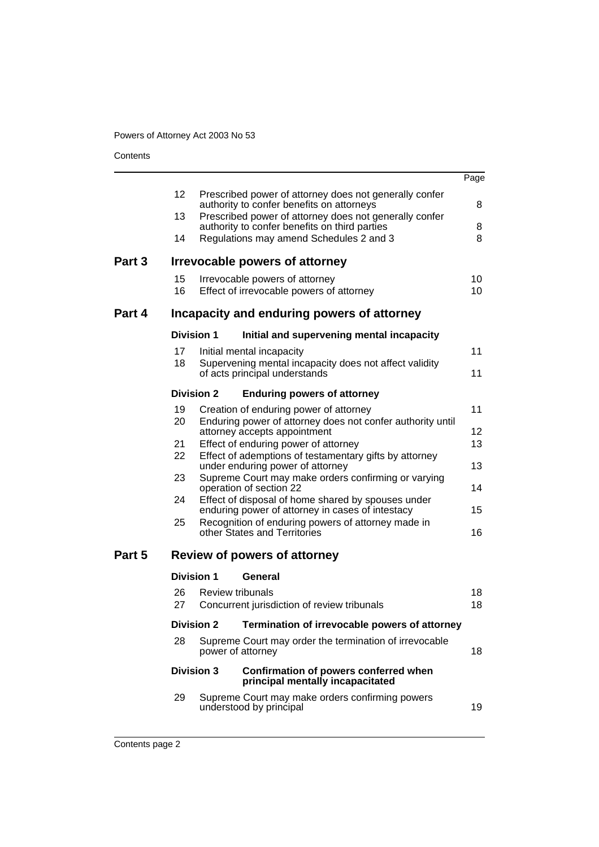**Contents** 

|        |                 |                                                                                            |                                                                                                         | Page            |  |
|--------|-----------------|--------------------------------------------------------------------------------------------|---------------------------------------------------------------------------------------------------------|-----------------|--|
|        | 12 <sup>2</sup> |                                                                                            | Prescribed power of attorney does not generally confer<br>authority to confer benefits on attorneys     | 8               |  |
|        | 13              |                                                                                            | Prescribed power of attorney does not generally confer<br>authority to confer benefits on third parties | 8               |  |
|        | 14              |                                                                                            | Regulations may amend Schedules 2 and 3                                                                 | 8               |  |
| Part 3 |                 |                                                                                            | Irrevocable powers of attorney                                                                          |                 |  |
|        | 15              |                                                                                            | Irrevocable powers of attorney                                                                          | 10              |  |
|        | 16              |                                                                                            | Effect of irrevocable powers of attorney                                                                | 10 <sup>°</sup> |  |
| Part 4 |                 |                                                                                            | Incapacity and enduring powers of attorney                                                              |                 |  |
|        |                 | <b>Division 1</b>                                                                          | Initial and supervening mental incapacity                                                               |                 |  |
|        | 17              |                                                                                            | Initial mental incapacity                                                                               | 11              |  |
|        | 18              |                                                                                            | Supervening mental incapacity does not affect validity<br>of acts principal understands                 | 11              |  |
|        |                 | <b>Division 2</b>                                                                          | <b>Enduring powers of attorney</b>                                                                      |                 |  |
|        | 19              |                                                                                            | Creation of enduring power of attorney                                                                  | 11              |  |
|        | 20              | Enduring power of attorney does not confer authority until<br>attorney accepts appointment |                                                                                                         |                 |  |
|        | 21              |                                                                                            | Effect of enduring power of attorney                                                                    | 12<br>13        |  |
|        | 22              |                                                                                            | Effect of ademptions of testamentary gifts by attorney<br>under enduring power of attorney              | 13              |  |
|        | 23              |                                                                                            | Supreme Court may make orders confirming or varying<br>operation of section 22                          | 14              |  |
|        | 24              |                                                                                            | Effect of disposal of home shared by spouses under<br>enduring power of attorney in cases of intestacy  | 15              |  |
|        | 25              |                                                                                            | Recognition of enduring powers of attorney made in<br>other States and Territories                      | 16              |  |
| Part 5 |                 |                                                                                            | Review of powers of attorney                                                                            |                 |  |
|        |                 | <b>Division 1</b>                                                                          | General                                                                                                 |                 |  |
|        | 26              |                                                                                            | <b>Review tribunals</b>                                                                                 | 18              |  |
|        | 27              |                                                                                            | Concurrent jurisdiction of review tribunals                                                             | 18              |  |
|        |                 |                                                                                            | Division 2 Termination of irrevocable powers of attorney                                                |                 |  |
|        | 28              |                                                                                            | Supreme Court may order the termination of irrevocable<br>power of attorney                             | 18              |  |
|        |                 | <b>Division 3</b>                                                                          | Confirmation of powers conferred when<br>principal mentally incapacitated                               |                 |  |
|        | 29              |                                                                                            | Supreme Court may make orders confirming powers<br>understood by principal                              | 19              |  |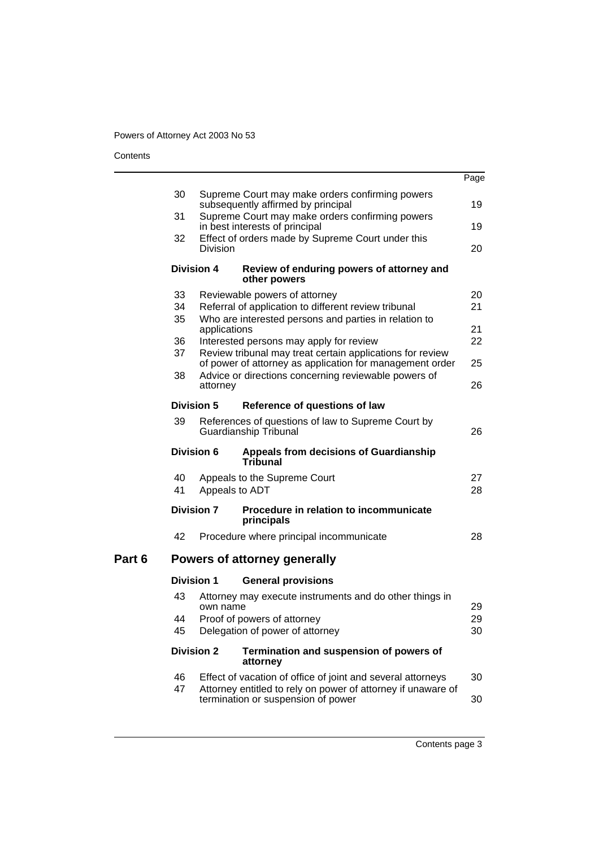**Contents** 

Part 6

|                   |                                                                                   |                                                                                                                       | Page     |  |
|-------------------|-----------------------------------------------------------------------------------|-----------------------------------------------------------------------------------------------------------------------|----------|--|
| 30                |                                                                                   | Supreme Court may make orders confirming powers<br>subsequently affirmed by principal                                 | 19       |  |
| 31                |                                                                                   | Supreme Court may make orders confirming powers                                                                       |          |  |
|                   |                                                                                   | in best interests of principal                                                                                        | 19       |  |
| 32                | Division                                                                          | Effect of orders made by Supreme Court under this                                                                     | 20       |  |
| <b>Division 4</b> |                                                                                   | Review of enduring powers of attorney and<br>other powers                                                             |          |  |
| 33                |                                                                                   | Reviewable powers of attorney                                                                                         | 20       |  |
| 34                |                                                                                   | Referral of application to different review tribunal                                                                  | 21       |  |
| 35                | applications                                                                      | Who are interested persons and parties in relation to                                                                 | 21       |  |
| 36                |                                                                                   | Interested persons may apply for review                                                                               | 22       |  |
| 37                |                                                                                   | Review tribunal may treat certain applications for review<br>of power of attorney as application for management order | 25       |  |
| 38                |                                                                                   | Advice or directions concerning reviewable powers of                                                                  |          |  |
|                   | attorney                                                                          |                                                                                                                       | 26       |  |
| <b>Division 5</b> |                                                                                   | Reference of questions of law                                                                                         |          |  |
| 39                | References of questions of law to Supreme Court by<br>Guardianship Tribunal<br>26 |                                                                                                                       |          |  |
| Division 6        |                                                                                   | <b>Appeals from decisions of Guardianship</b><br>Tribunal                                                             |          |  |
| 40<br>41          | Appeals to ADT                                                                    | Appeals to the Supreme Court                                                                                          | 27<br>28 |  |
| <b>Division 7</b> |                                                                                   | Procedure in relation to incommunicate<br>principals                                                                  |          |  |
| 42                |                                                                                   | Procedure where principal incommunicate                                                                               | 28       |  |
|                   |                                                                                   | Powers of attorney generally                                                                                          |          |  |
| <b>Division 1</b> |                                                                                   | <b>General provisions</b>                                                                                             |          |  |
| 43                | own name                                                                          | Attorney may execute instruments and do other things in                                                               | 29       |  |
| 44                |                                                                                   | Proof of powers of attorney                                                                                           | 29       |  |
| 45                |                                                                                   | Delegation of power of attorney                                                                                       | 30       |  |
| <b>Division 2</b> |                                                                                   | Termination and suspension of powers of<br>attorney                                                                   |          |  |
| 46                |                                                                                   | Effect of vacation of office of joint and several attorneys                                                           | 30       |  |
| 47                |                                                                                   | Attorney entitled to rely on power of attorney if unaware of<br>termination or suspension of power                    | 30       |  |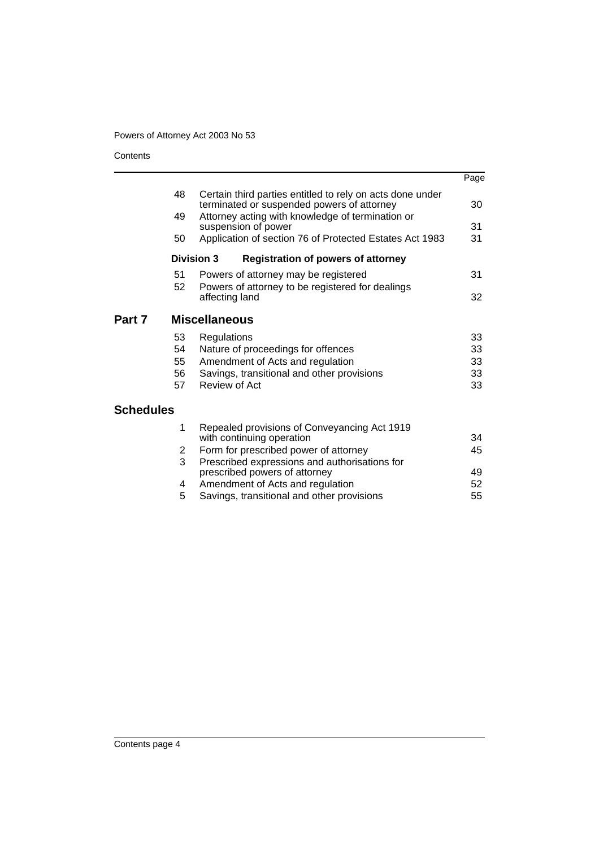**Contents** 

|                  |                   |                                                                                                         | Page     |
|------------------|-------------------|---------------------------------------------------------------------------------------------------------|----------|
|                  | 48                | Certain third parties entitled to rely on acts done under<br>terminated or suspended powers of attorney | 30       |
|                  | 49                | Attorney acting with knowledge of termination or<br>suspension of power                                 | 31       |
|                  | 50                | Application of section 76 of Protected Estates Act 1983                                                 | 31       |
|                  | <b>Division 3</b> | <b>Registration of powers of attorney</b>                                                               |          |
|                  | 51<br>52          | Powers of attorney may be registered<br>Powers of attorney to be registered for dealings                | 31       |
|                  |                   | affecting land                                                                                          | 32       |
| Part 7           |                   | <b>Miscellaneous</b>                                                                                    |          |
|                  | 53                | Regulations                                                                                             | 33       |
|                  | 54                | Nature of proceedings for offences                                                                      | 33       |
|                  | 55<br>56          | Amendment of Acts and regulation<br>Savings, transitional and other provisions                          | 33<br>33 |
|                  | 57                | <b>Review of Act</b>                                                                                    | 33       |
| <b>Schedules</b> |                   |                                                                                                         |          |
|                  | 1                 | Repealed provisions of Conveyancing Act 1919<br>with continuing operation                               | 34       |
|                  | 2                 | Form for prescribed power of attorney                                                                   | 45       |
|                  | 3                 | Prescribed expressions and authorisations for<br>prescribed powers of attorney                          | 49       |
|                  | 4                 | Amendment of Acts and regulation                                                                        | 52       |
|                  | 5                 | Savings, transitional and other provisions                                                              | 55       |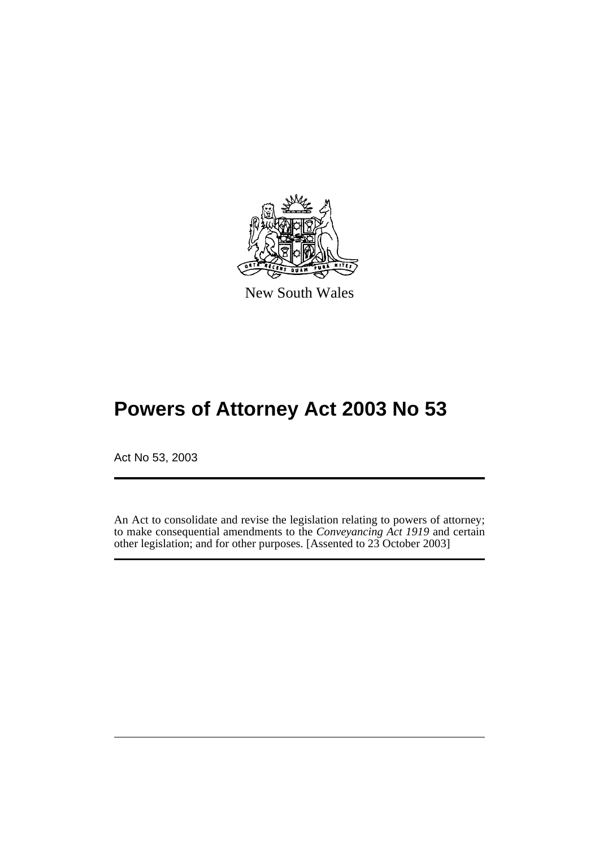

New South Wales

# **Powers of Attorney Act 2003 No 53**

Act No 53, 2003

An Act to consolidate and revise the legislation relating to powers of attorney; to make consequential amendments to the *Conveyancing Act 1919* and certain other legislation; and for other purposes. [Assented to 23 October 2003]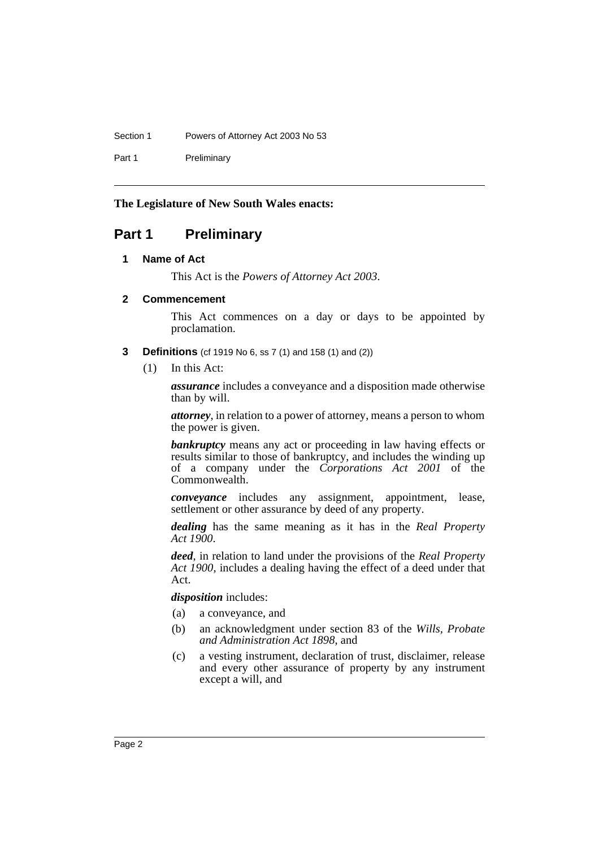Section 1 Powers of Attorney Act 2003 No 53

Part 1 Preliminary

#### **The Legislature of New South Wales enacts:**

### **Part 1 Preliminary**

#### **1 Name of Act**

This Act is the *Powers of Attorney Act 2003*.

#### **2 Commencement**

This Act commences on a day or days to be appointed by proclamation.

- **3 Definitions** (cf 1919 No 6, ss 7 (1) and 158 (1) and (2))
	- (1) In this Act:

*assurance* includes a conveyance and a disposition made otherwise than by will.

*attorney*, in relation to a power of attorney, means a person to whom the power is given.

*bankruptcy* means any act or proceeding in law having effects or results similar to those of bankruptcy, and includes the winding up of a company under the *Corporations Act 2001* of the Commonwealth.

*conveyance* includes any assignment, appointment, lease, settlement or other assurance by deed of any property.

*dealing* has the same meaning as it has in the *Real Property Act 1900*.

*deed*, in relation to land under the provisions of the *Real Property Act 1900*, includes a dealing having the effect of a deed under that Act.

*disposition* includes:

- (a) a conveyance, and
- (b) an acknowledgment under section 83 of the *Wills, Probate and Administration Act 1898*, and
- (c) a vesting instrument, declaration of trust, disclaimer, release and every other assurance of property by any instrument except a will, and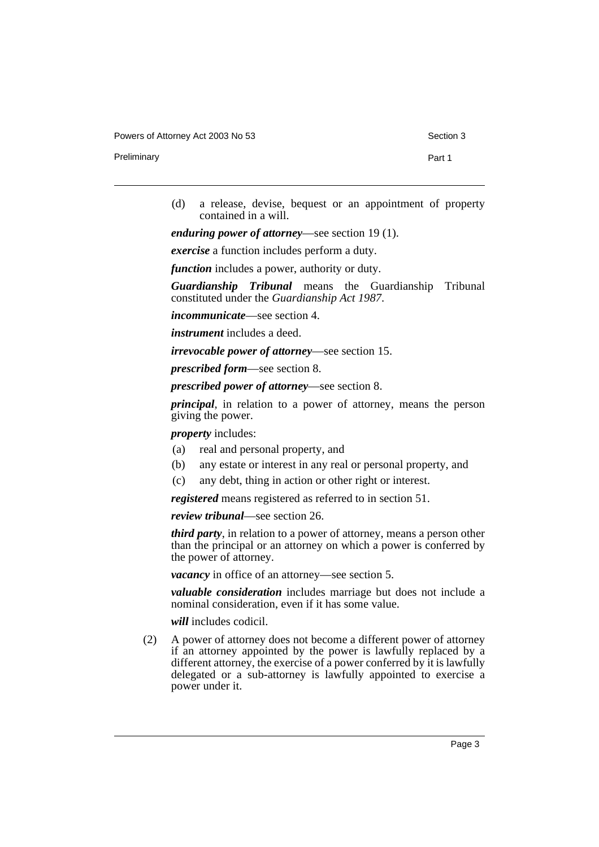Powers of Attorney Act 2003 No 53 Section 3

Preliminary **Preliminary** Part 1

(d) a release, devise, bequest or an appointment of property contained in a will.

*enduring power of attorney*—see section 19 (1).

*exercise* a function includes perform a duty.

*function* includes a power, authority or duty.

*Guardianship Tribunal* means the Guardianship Tribunal constituted under the *Guardianship Act 1987*.

*incommunicate*—see section 4.

*instrument* includes a deed.

*irrevocable power of attorney*—see section 15.

*prescribed form*—see section 8.

*prescribed power of attorney*—see section 8.

*principal*, in relation to a power of attorney, means the person giving the power.

*property* includes:

- (a) real and personal property, and
- (b) any estate or interest in any real or personal property, and
- (c) any debt, thing in action or other right or interest.

*registered* means registered as referred to in section 51.

*review tribunal*—see section 26.

*third party*, in relation to a power of attorney, means a person other than the principal or an attorney on which a power is conferred by the power of attorney.

*vacancy* in office of an attorney—see section 5.

*valuable consideration* includes marriage but does not include a nominal consideration, even if it has some value.

*will* includes codicil.

(2) A power of attorney does not become a different power of attorney if an attorney appointed by the power is lawfully replaced by a different attorney, the exercise of a power conferred by it is lawfully delegated or a sub-attorney is lawfully appointed to exercise a power under it.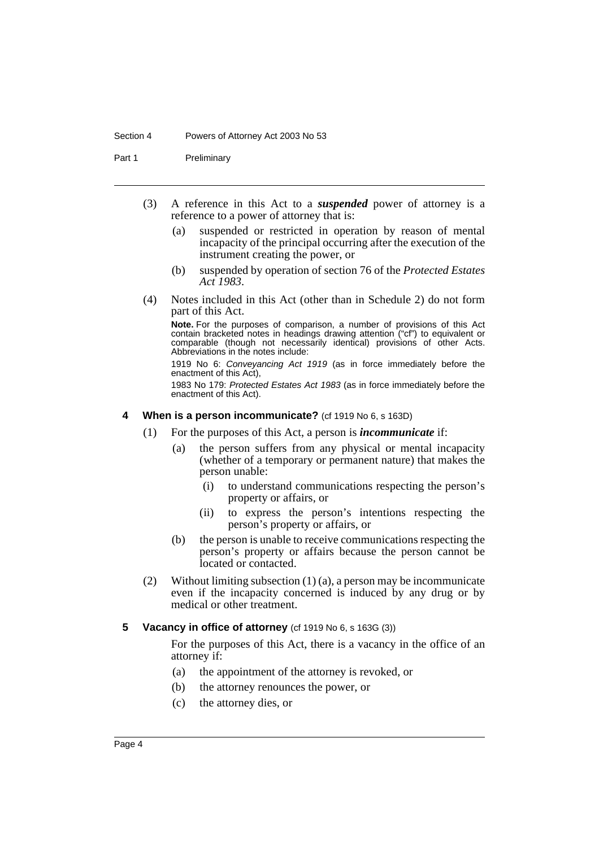#### Section 4 Powers of Attorney Act 2003 No 53

Part 1 Preliminary

- (3) A reference in this Act to a *suspended* power of attorney is a reference to a power of attorney that is:
	- (a) suspended or restricted in operation by reason of mental incapacity of the principal occurring after the execution of the instrument creating the power, or
	- (b) suspended by operation of section 76 of the *Protected Estates Act 1983*.
- (4) Notes included in this Act (other than in Schedule 2) do not form part of this Act.

**Note.** For the purposes of comparison, a number of provisions of this Act contain bracketed notes in headings drawing attention ("cf") to equivalent or comparable (though not necessarily identical) provisions of other Acts. Abbreviations in the notes include:

1919 No 6: Conveyancing Act 1919 (as in force immediately before the enactment of this Act),

1983 No 179: Protected Estates Act 1983 (as in force immediately before the enactment of this Act).

#### **4 When is a person incommunicate?** (cf 1919 No 6, s 163D)

- (1) For the purposes of this Act, a person is *incommunicate* if:
	- (a) the person suffers from any physical or mental incapacity (whether of a temporary or permanent nature) that makes the person unable:
		- (i) to understand communications respecting the person's property or affairs, or
		- (ii) to express the person's intentions respecting the person's property or affairs, or
	- (b) the person is unable to receive communications respecting the person's property or affairs because the person cannot be located or contacted.
- (2) Without limiting subsection (1) (a), a person may be incommunicate even if the incapacity concerned is induced by any drug or by medical or other treatment.

#### **5** Vacancy in office of attorney (cf 1919 No 6, s 163G (3))

For the purposes of this Act, there is a vacancy in the office of an attorney if:

- (a) the appointment of the attorney is revoked, or
- (b) the attorney renounces the power, or
- (c) the attorney dies, or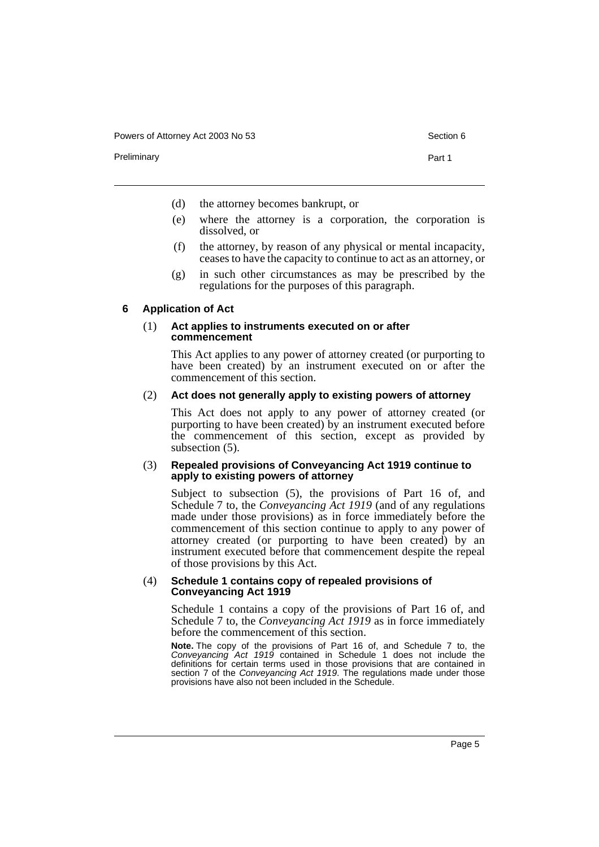Powers of Attorney Act 2003 No 53 Section 6

Preliminary **Preliminary** Part 1

- (d) the attorney becomes bankrupt, or
- (e) where the attorney is a corporation, the corporation is dissolved, or
- (f) the attorney, by reason of any physical or mental incapacity, ceases to have the capacity to continue to act as an attorney, or
- (g) in such other circumstances as may be prescribed by the regulations for the purposes of this paragraph.

#### **6 Application of Act**

#### (1) **Act applies to instruments executed on or after commencement**

This Act applies to any power of attorney created (or purporting to have been created) by an instrument executed on or after the commencement of this section.

#### (2) **Act does not generally apply to existing powers of attorney**

This Act does not apply to any power of attorney created (or purporting to have been created) by an instrument executed before the commencement of this section, except as provided by subsection  $(5)$ .

#### (3) **Repealed provisions of Conveyancing Act 1919 continue to apply to existing powers of attorney**

Subject to subsection (5), the provisions of Part 16 of, and Schedule 7 to, the *Conveyancing Act 1919* (and of any regulations made under those provisions) as in force immediately before the commencement of this section continue to apply to any power of attorney created (or purporting to have been created) by an instrument executed before that commencement despite the repeal of those provisions by this Act.

#### (4) **Schedule 1 contains copy of repealed provisions of Conveyancing Act 1919**

Schedule 1 contains a copy of the provisions of Part 16 of, and Schedule 7 to, the *Conveyancing Act 1919* as in force immediately before the commencement of this section.

**Note.** The copy of the provisions of Part 16 of, and Schedule 7 to, the Conveyancing Act 1919 contained in Schedule 1 does not include the definitions for certain terms used in those provisions that are contained in section 7 of the Conveyancing Act 1919. The regulations made under those provisions have also not been included in the Schedule.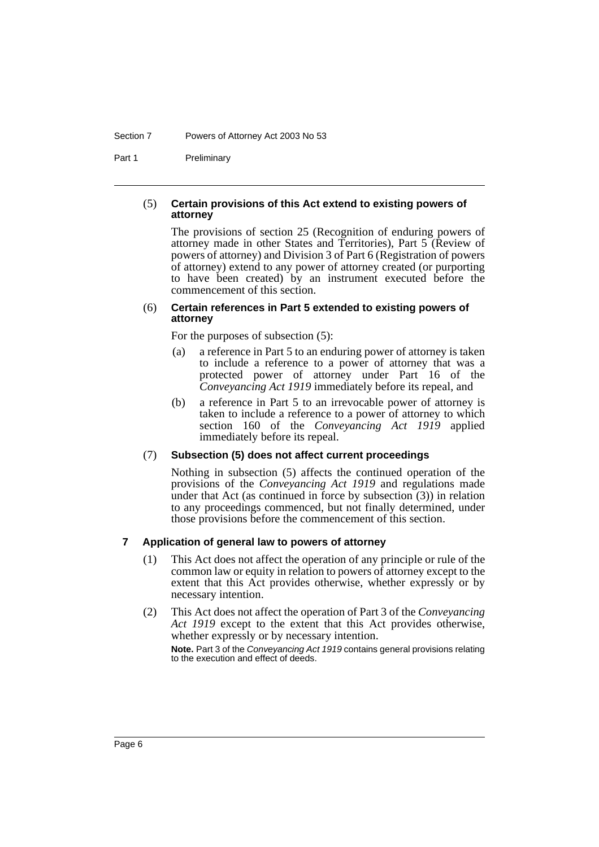#### Section 7 Powers of Attorney Act 2003 No 53

Part 1 Preliminary

#### (5) **Certain provisions of this Act extend to existing powers of attorney**

The provisions of section 25 (Recognition of enduring powers of attorney made in other States and Territories), Part 5 (Review of powers of attorney) and Division 3 of Part 6 (Registration of powers of attorney) extend to any power of attorney created (or purporting to have been created) by an instrument executed before the commencement of this section.

#### (6) **Certain references in Part 5 extended to existing powers of attorney**

For the purposes of subsection (5):

- (a) a reference in Part 5 to an enduring power of attorney is taken to include a reference to a power of attorney that was a protected power of attorney under Part 16 of the *Conveyancing Act 1919* immediately before its repeal, and
- (b) a reference in Part 5 to an irrevocable power of attorney is taken to include a reference to a power of attorney to which section 160 of the *Conveyancing Act 1919* applied immediately before its repeal.

#### (7) **Subsection (5) does not affect current proceedings**

Nothing in subsection (5) affects the continued operation of the provisions of the *Conveyancing Act 1919* and regulations made under that Act (as continued in force by subsection  $(3)$ ) in relation to any proceedings commenced, but not finally determined, under those provisions before the commencement of this section.

#### **7 Application of general law to powers of attorney**

- (1) This Act does not affect the operation of any principle or rule of the common law or equity in relation to powers of attorney except to the extent that this Act provides otherwise, whether expressly or by necessary intention.
- (2) This Act does not affect the operation of Part 3 of the *Conveyancing Act 1919* except to the extent that this Act provides otherwise, whether expressly or by necessary intention.

**Note.** Part 3 of the Conveyancing Act 1919 contains general provisions relating to the execution and effect of deeds.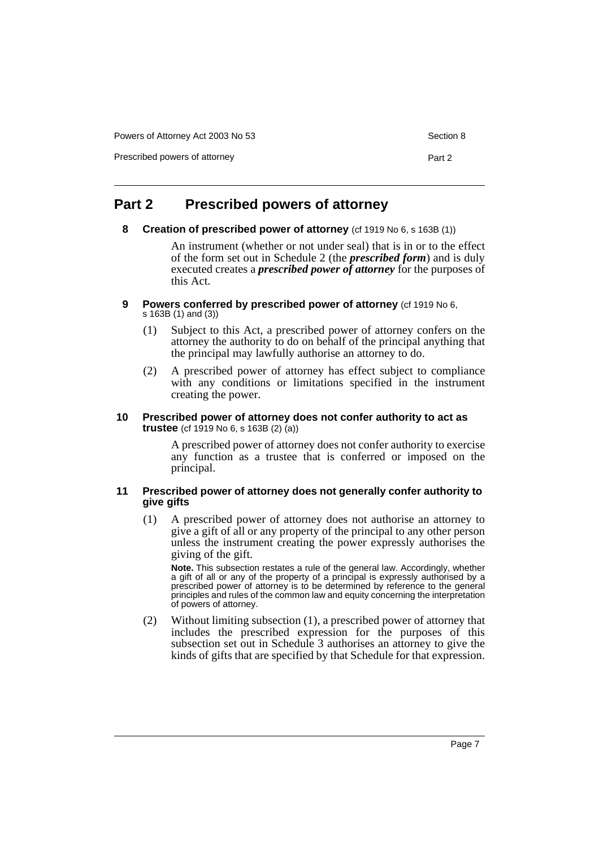Powers of Attorney Act 2003 No 53 Section 8

Prescribed powers of attorney example and the part 2 and 2 and 2 and 2 and 2 and 2 and 2 and 2 and 2 and 2 and 2 and 2 and 2 and 2 and 2 and 2 and 2 and 2 and 2 and 2 and 2 and 2 and 2 and 2 and 2 and 2 and 2 and 2 and 2 a

### **Part 2 Prescribed powers of attorney**

**8 Creation of prescribed power of attorney** (cf 1919 No 6, s 163B (1))

An instrument (whether or not under seal) that is in or to the effect of the form set out in Schedule 2 (the *prescribed form*) and is duly executed creates a *prescribed power of attorney* for the purposes of this Act.

- **9** Powers conferred by prescribed power of attorney (cf 1919 No 6, s 163B (1) and (3))
	- (1) Subject to this Act, a prescribed power of attorney confers on the attorney the authority to do on behalf of the principal anything that the principal may lawfully authorise an attorney to do.
	- (2) A prescribed power of attorney has effect subject to compliance with any conditions or limitations specified in the instrument creating the power.

#### **10 Prescribed power of attorney does not confer authority to act as trustee** (cf 1919 No 6, s 163B (2) (a))

A prescribed power of attorney does not confer authority to exercise any function as a trustee that is conferred or imposed on the principal.

#### **11 Prescribed power of attorney does not generally confer authority to give gifts**

(1) A prescribed power of attorney does not authorise an attorney to give a gift of all or any property of the principal to any other person unless the instrument creating the power expressly authorises the giving of the gift.

**Note.** This subsection restates a rule of the general law. Accordingly, whether a gift of all or any of the property of a principal is expressly authorised by a prescribed power of attorney is to be determined by reference to the general principles and rules of the common law and equity concerning the interpretation of powers of attorney.

(2) Without limiting subsection (1), a prescribed power of attorney that includes the prescribed expression for the purposes of this subsection set out in Schedule 3 authorises an attorney to give the kinds of gifts that are specified by that Schedule for that expression.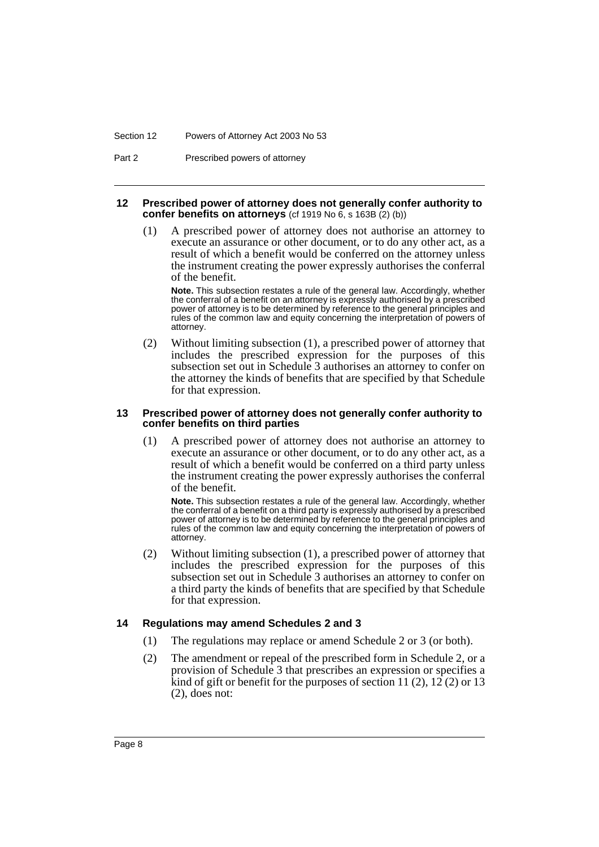#### Section 12 Powers of Attorney Act 2003 No 53

Part 2 Prescribed powers of attorney

#### **12 Prescribed power of attorney does not generally confer authority to confer benefits on attorneys** (cf 1919 No 6, s 163B (2) (b))

(1) A prescribed power of attorney does not authorise an attorney to execute an assurance or other document, or to do any other act, as a result of which a benefit would be conferred on the attorney unless the instrument creating the power expressly authorises the conferral of the benefit.

**Note.** This subsection restates a rule of the general law. Accordingly, whether the conferral of a benefit on an attorney is expressly authorised by a prescribed power of attorney is to be determined by reference to the general principles and rules of the common law and equity concerning the interpretation of powers of attorney.

(2) Without limiting subsection (1), a prescribed power of attorney that includes the prescribed expression for the purposes of this subsection set out in Schedule 3 authorises an attorney to confer on the attorney the kinds of benefits that are specified by that Schedule for that expression.

#### **13 Prescribed power of attorney does not generally confer authority to confer benefits on third parties**

(1) A prescribed power of attorney does not authorise an attorney to execute an assurance or other document, or to do any other act, as a result of which a benefit would be conferred on a third party unless the instrument creating the power expressly authorises the conferral of the benefit.

**Note.** This subsection restates a rule of the general law. Accordingly, whether the conferral of a benefit on a third party is expressly authorised by a prescribed power of attorney is to be determined by reference to the general principles and rules of the common law and equity concerning the interpretation of powers of attorney.

(2) Without limiting subsection (1), a prescribed power of attorney that includes the prescribed expression for the purposes of this subsection set out in Schedule 3 authorises an attorney to confer on a third party the kinds of benefits that are specified by that Schedule for that expression.

#### **14 Regulations may amend Schedules 2 and 3**

- (1) The regulations may replace or amend Schedule 2 or 3 (or both).
- (2) The amendment or repeal of the prescribed form in Schedule 2, or a provision of Schedule 3 that prescribes an expression or specifies a  $\hat{k}$  ind of gift or benefit for the purposes of section 11 (2), 12 (2) or 13 (2), does not: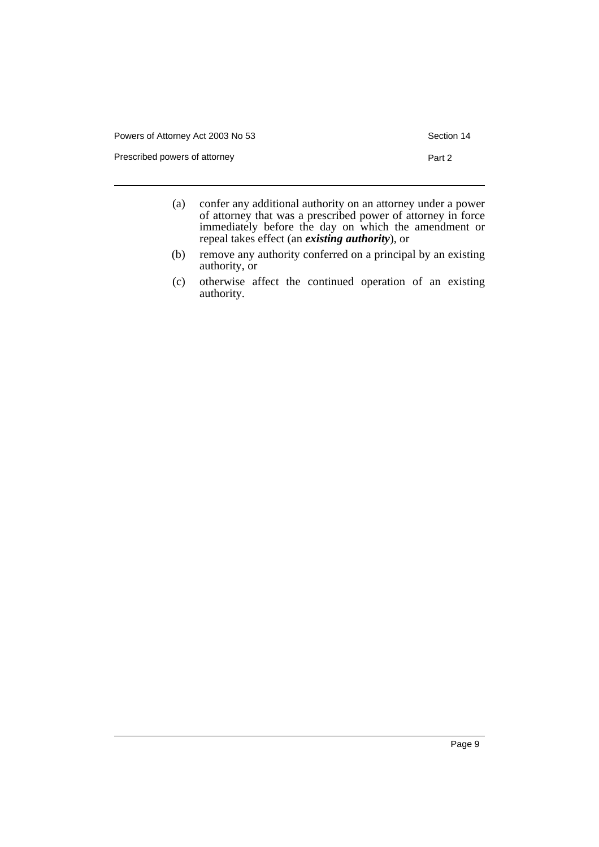| Powers of Attorney Act 2003 No 53 | Section 14 |
|-----------------------------------|------------|
| Prescribed powers of attorney     | Part 2     |
|                                   |            |

- (a) confer any additional authority on an attorney under a power of attorney that was a prescribed power of attorney in force immediately before the day on which the amendment or repeal takes effect (an *existing authority*), or
- (b) remove any authority conferred on a principal by an existing authority, or
- (c) otherwise affect the continued operation of an existing authority.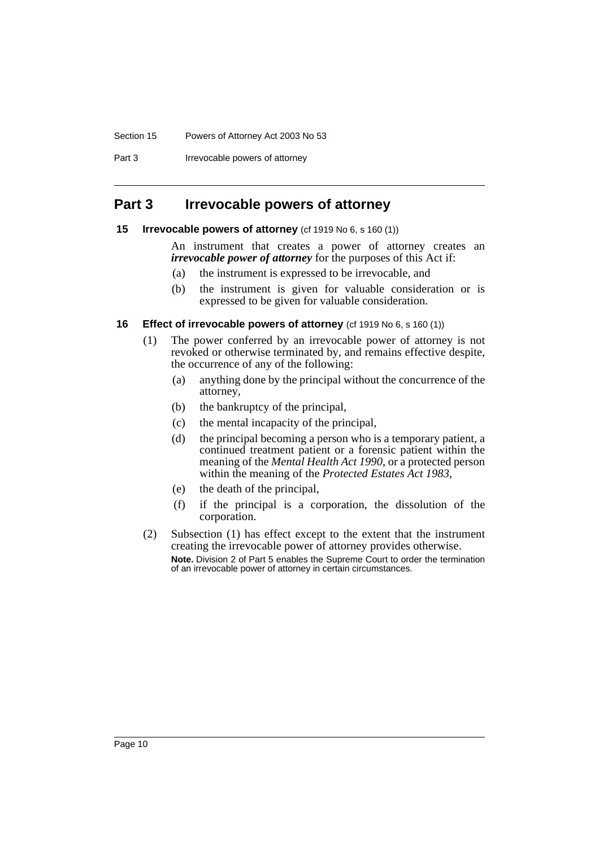#### Section 15 Powers of Attorney Act 2003 No 53

Part 3 **Irrevocable powers of attorney** 

### **Part 3 Irrevocable powers of attorney**

#### **15 Irrevocable powers of attorney** (cf 1919 No 6, s 160 (1))

An instrument that creates a power of attorney creates an *irrevocable power of attorney* for the purposes of this Act if:

- (a) the instrument is expressed to be irrevocable, and
- (b) the instrument is given for valuable consideration or is expressed to be given for valuable consideration.

#### **16 Effect of irrevocable powers of attorney** (cf 1919 No 6, s 160 (1))

- (1) The power conferred by an irrevocable power of attorney is not revoked or otherwise terminated by, and remains effective despite, the occurrence of any of the following:
	- (a) anything done by the principal without the concurrence of the attorney,
	- (b) the bankruptcy of the principal,
	- (c) the mental incapacity of the principal,
	- (d) the principal becoming a person who is a temporary patient, a continued treatment patient or a forensic patient within the meaning of the *Mental Health Act 1990*, or a protected person within the meaning of the *Protected Estates Act 1983*,
	- (e) the death of the principal,
	- (f) if the principal is a corporation, the dissolution of the corporation.
- (2) Subsection (1) has effect except to the extent that the instrument creating the irrevocable power of attorney provides otherwise. **Note.** Division 2 of Part 5 enables the Supreme Court to order the termination of an irrevocable power of attorney in certain circumstances.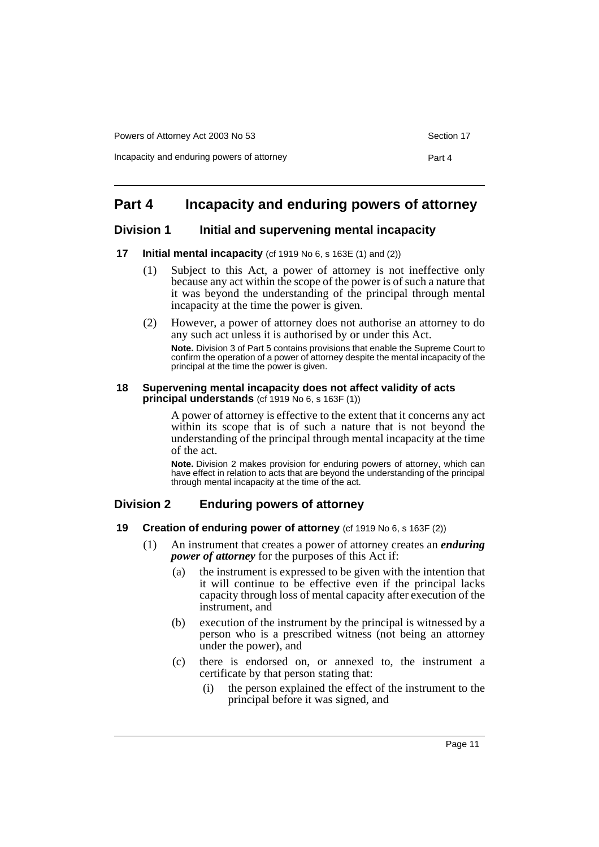Incapacity and enduring powers of attorney example and the Part 4

### **Part 4 Incapacity and enduring powers of attorney**

#### **Division 1 Initial and supervening mental incapacity**

#### **17 Initial mental incapacity** (cf 1919 No 6, s 163E (1) and (2))

- (1) Subject to this Act, a power of attorney is not ineffective only because any act within the scope of the power is of such a nature that it was beyond the understanding of the principal through mental incapacity at the time the power is given.
- (2) However, a power of attorney does not authorise an attorney to do any such act unless it is authorised by or under this Act.

**Note.** Division 3 of Part 5 contains provisions that enable the Supreme Court to confirm the operation of a power of attorney despite the mental incapacity of the principal at the time the power is given.

#### **18 Supervening mental incapacity does not affect validity of acts principal understands** (cf 1919 No 6, s 163F (1))

A power of attorney is effective to the extent that it concerns any act within its scope that is of such a nature that is not beyond the understanding of the principal through mental incapacity at the time of the act.

**Note.** Division 2 makes provision for enduring powers of attorney, which can have effect in relation to acts that are beyond the understanding of the principal through mental incapacity at the time of the act.

### **Division 2 Enduring powers of attorney**

#### **19 Creation of enduring power of attorney** (cf 1919 No 6, s 163F (2))

- (1) An instrument that creates a power of attorney creates an *enduring power of attorney* for the purposes of this Act if:
	- (a) the instrument is expressed to be given with the intention that it will continue to be effective even if the principal lacks capacity through loss of mental capacity after execution of the instrument, and
	- (b) execution of the instrument by the principal is witnessed by a person who is a prescribed witness (not being an attorney under the power), and
	- (c) there is endorsed on, or annexed to, the instrument a certificate by that person stating that:
		- (i) the person explained the effect of the instrument to the principal before it was signed, and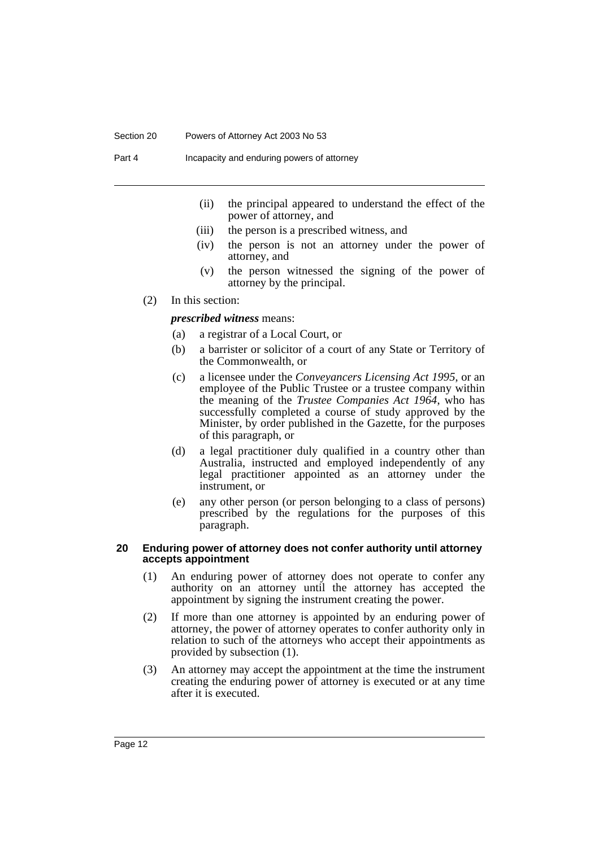#### Section 20 Powers of Attorney Act 2003 No 53

Part 4 Incapacity and enduring powers of attorney

- (ii) the principal appeared to understand the effect of the power of attorney, and
- (iii) the person is a prescribed witness, and
- (iv) the person is not an attorney under the power of attorney, and
- (v) the person witnessed the signing of the power of attorney by the principal.
- (2) In this section:

*prescribed witness* means:

- (a) a registrar of a Local Court, or
- (b) a barrister or solicitor of a court of any State or Territory of the Commonwealth, or
- (c) a licensee under the *Conveyancers Licensing Act 1995*, or an employee of the Public Trustee or a trustee company within the meaning of the *Trustee Companies Act 1964*, who has successfully completed a course of study approved by the Minister, by order published in the Gazette, for the purposes of this paragraph, or
- (d) a legal practitioner duly qualified in a country other than Australia, instructed and employed independently of any legal practitioner appointed as an attorney under the instrument, or
- (e) any other person (or person belonging to a class of persons) prescribed by the regulations for the purposes of this paragraph.

#### **20 Enduring power of attorney does not confer authority until attorney accepts appointment**

- (1) An enduring power of attorney does not operate to confer any authority on an attorney until the attorney has accepted the appointment by signing the instrument creating the power.
- (2) If more than one attorney is appointed by an enduring power of attorney, the power of attorney operates to confer authority only in relation to such of the attorneys who accept their appointments as provided by subsection (1).
- (3) An attorney may accept the appointment at the time the instrument creating the enduring power of attorney is executed or at any time after it is executed.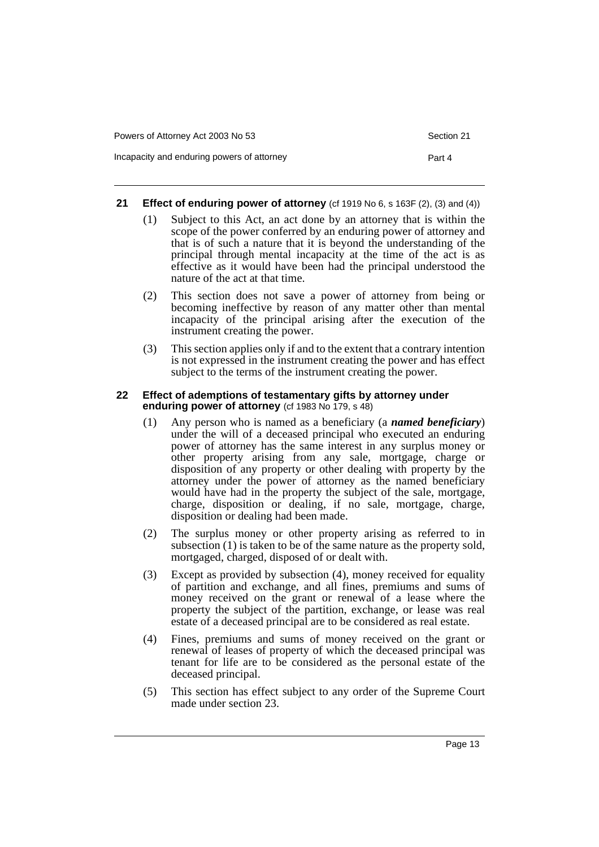Incapacity and enduring powers of attorney example and the Part 4

#### **21 Effect of enduring power of attorney** (cf 1919 No 6, s 163F (2), (3) and (4))

- (1) Subject to this Act, an act done by an attorney that is within the scope of the power conferred by an enduring power of attorney and that is of such a nature that it is beyond the understanding of the principal through mental incapacity at the time of the act is as effective as it would have been had the principal understood the nature of the act at that time.
- (2) This section does not save a power of attorney from being or becoming ineffective by reason of any matter other than mental incapacity of the principal arising after the execution of the instrument creating the power.
- (3) This section applies only if and to the extent that a contrary intention is not expressed in the instrument creating the power and has effect subject to the terms of the instrument creating the power.

#### **22 Effect of ademptions of testamentary gifts by attorney under enduring power of attorney** (cf 1983 No 179, s 48)

- (1) Any person who is named as a beneficiary (a *named beneficiary*) under the will of a deceased principal who executed an enduring power of attorney has the same interest in any surplus money or other property arising from any sale, mortgage, charge or disposition of any property or other dealing with property by the attorney under the power of attorney as the named beneficiary would have had in the property the subject of the sale, mortgage, charge, disposition or dealing, if no sale, mortgage, charge, disposition or dealing had been made.
- (2) The surplus money or other property arising as referred to in subsection (1) is taken to be of the same nature as the property sold, mortgaged, charged, disposed of or dealt with.
- (3) Except as provided by subsection (4), money received for equality of partition and exchange, and all fines, premiums and sums of money received on the grant or renewal of a lease where the property the subject of the partition, exchange, or lease was real estate of a deceased principal are to be considered as real estate.
- (4) Fines, premiums and sums of money received on the grant or renewal of leases of property of which the deceased principal was tenant for life are to be considered as the personal estate of the deceased principal.
- (5) This section has effect subject to any order of the Supreme Court made under section 23.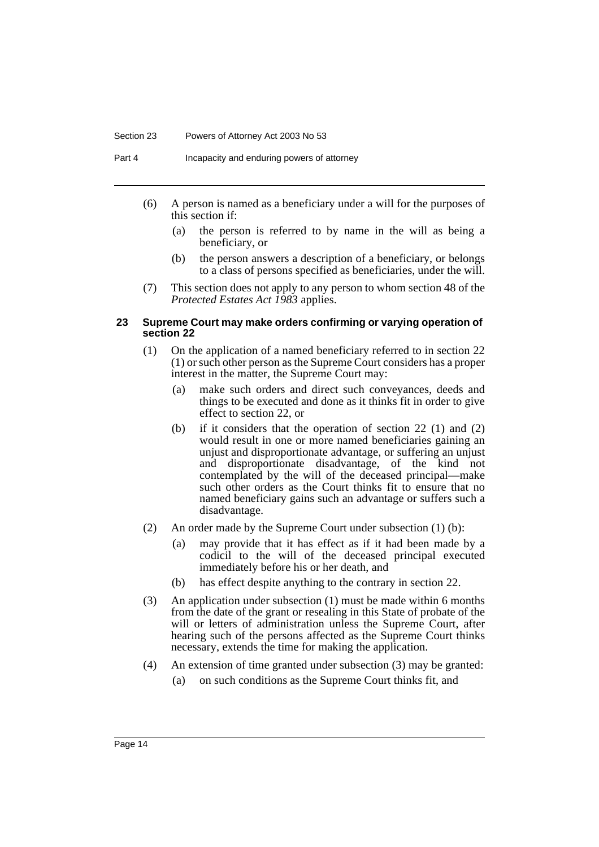#### Section 23 Powers of Attorney Act 2003 No 53

Part 4 Incapacity and enduring powers of attorney

- (6) A person is named as a beneficiary under a will for the purposes of this section if:
	- (a) the person is referred to by name in the will as being a beneficiary, or
	- (b) the person answers a description of a beneficiary, or belongs to a class of persons specified as beneficiaries, under the will.
- (7) This section does not apply to any person to whom section 48 of the *Protected Estates Act 1983* applies.

#### **23 Supreme Court may make orders confirming or varying operation of section 22**

- (1) On the application of a named beneficiary referred to in section 22 (1) or such other person as the Supreme Court considers has a proper interest in the matter, the Supreme Court may:
	- (a) make such orders and direct such conveyances, deeds and things to be executed and done as it thinks fit in order to give effect to section 22, or
	- (b) if it considers that the operation of section 22 (1) and (2) would result in one or more named beneficiaries gaining an unjust and disproportionate advantage, or suffering an unjust and disproportionate disadvantage, of the kind not contemplated by the will of the deceased principal—make such other orders as the Court thinks fit to ensure that no named beneficiary gains such an advantage or suffers such a disadvantage.
- (2) An order made by the Supreme Court under subsection (1) (b):
	- (a) may provide that it has effect as if it had been made by a codicil to the will of the deceased principal executed immediately before his or her death, and
	- (b) has effect despite anything to the contrary in section 22.
- (3) An application under subsection (1) must be made within 6 months from the date of the grant or resealing in this State of probate of the will or letters of administration unless the Supreme Court, after hearing such of the persons affected as the Supreme Court thinks necessary, extends the time for making the application.
- (4) An extension of time granted under subsection (3) may be granted:
	- (a) on such conditions as the Supreme Court thinks fit, and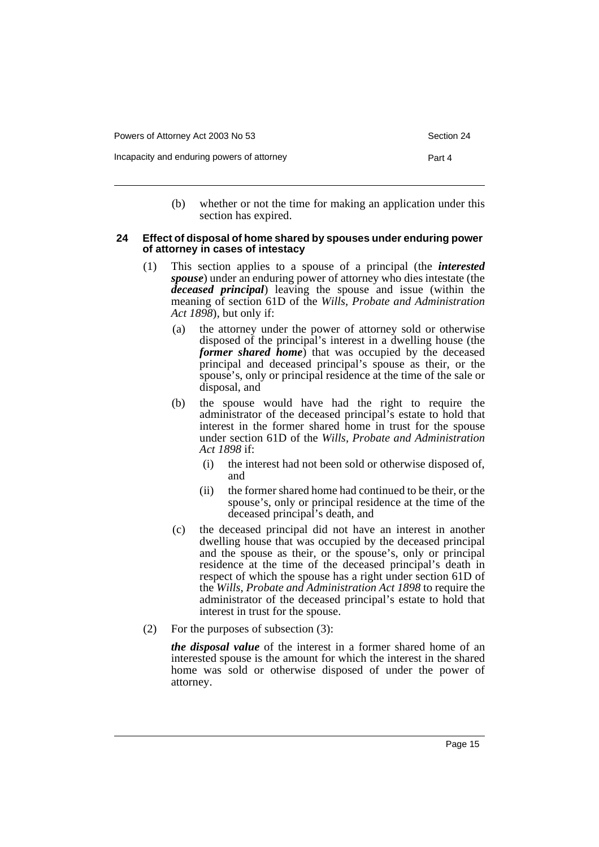Incapacity and enduring powers of attorney example and the Part 4

(b) whether or not the time for making an application under this section has expired.

#### **24 Effect of disposal of home shared by spouses under enduring power of attorney in cases of intestacy**

- (1) This section applies to a spouse of a principal (the *interested spouse*) under an enduring power of attorney who dies intestate (the *deceased principal*) leaving the spouse and issue (within the meaning of section 61D of the *Wills, Probate and Administration Act 1898*), but only if:
	- (a) the attorney under the power of attorney sold or otherwise disposed of the principal's interest in a dwelling house (the *former shared home*) that was occupied by the deceased principal and deceased principal's spouse as their, or the spouse's, only or principal residence at the time of the sale or disposal, and
	- (b) the spouse would have had the right to require the administrator of the deceased principal's estate to hold that interest in the former shared home in trust for the spouse under section 61D of the *Wills, Probate and Administration Act 1898* if:
		- (i) the interest had not been sold or otherwise disposed of, and
		- (ii) the former shared home had continued to be their, or the spouse's, only or principal residence at the time of the deceased principal's death, and
	- (c) the deceased principal did not have an interest in another dwelling house that was occupied by the deceased principal and the spouse as their, or the spouse's, only or principal residence at the time of the deceased principal's death in respect of which the spouse has a right under section 61D of the *Wills, Probate and Administration Act 1898* to require the administrator of the deceased principal's estate to hold that interest in trust for the spouse.
- (2) For the purposes of subsection (3):

*the disposal value* of the interest in a former shared home of an interested spouse is the amount for which the interest in the shared home was sold or otherwise disposed of under the power of attorney.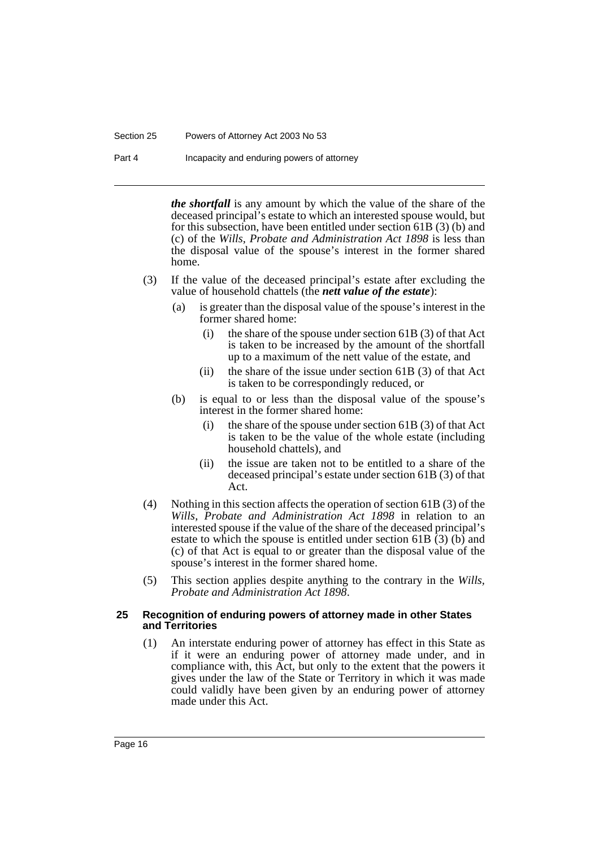#### Section 25 Powers of Attorney Act 2003 No 53

Part 4 Incapacity and enduring powers of attorney

*the shortfall* is any amount by which the value of the share of the deceased principal's estate to which an interested spouse would, but for this subsection, have been entitled under section 61B (3) (b) and (c) of the *Wills, Probate and Administration Act 1898* is less than the disposal value of the spouse's interest in the former shared home.

- (3) If the value of the deceased principal's estate after excluding the value of household chattels (the *nett value of the estate*):
	- (a) is greater than the disposal value of the spouse's interest in the former shared home:
		- (i) the share of the spouse under section 61B (3) of that Act is taken to be increased by the amount of the shortfall up to a maximum of the nett value of the estate, and
		- (ii) the share of the issue under section  $61B(3)$  of that Act is taken to be correspondingly reduced, or
	- (b) is equal to or less than the disposal value of the spouse's interest in the former shared home:
		- (i) the share of the spouse under section 61B (3) of that Act is taken to be the value of the whole estate (including household chattels), and
		- (ii) the issue are taken not to be entitled to a share of the deceased principal's estate under section 61B (3) of that Act.
- (4) Nothing in this section affects the operation of section 61B (3) of the *Wills, Probate and Administration Act 1898* in relation to an interested spouse if the value of the share of the deceased principal's estate to which the spouse is entitled under section 61B (3) (b) and (c) of that Act is equal to or greater than the disposal value of the spouse's interest in the former shared home.
- (5) This section applies despite anything to the contrary in the *Wills, Probate and Administration Act 1898*.

#### **25 Recognition of enduring powers of attorney made in other States and Territories**

(1) An interstate enduring power of attorney has effect in this State as if it were an enduring power of attorney made under, and in compliance with, this Act, but only to the extent that the powers it gives under the law of the State or Territory in which it was made could validly have been given by an enduring power of attorney made under this Act.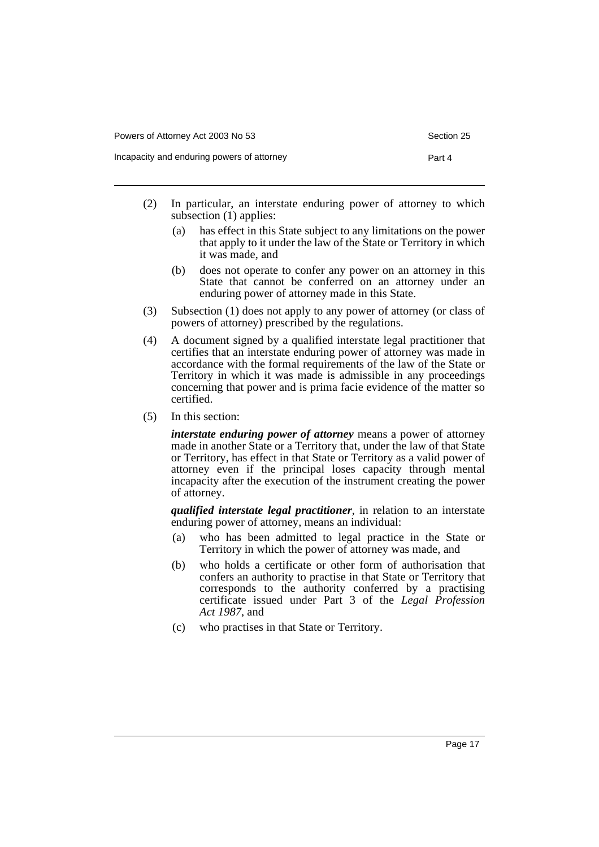- (2) In particular, an interstate enduring power of attorney to which subsection (1) applies:
	- (a) has effect in this State subject to any limitations on the power that apply to it under the law of the State or Territory in which it was made, and
	- (b) does not operate to confer any power on an attorney in this State that cannot be conferred on an attorney under an enduring power of attorney made in this State.
- (3) Subsection (1) does not apply to any power of attorney (or class of powers of attorney) prescribed by the regulations.
- (4) A document signed by a qualified interstate legal practitioner that certifies that an interstate enduring power of attorney was made in accordance with the formal requirements of the law of the State or Territory in which it was made is admissible in any proceedings concerning that power and is prima facie evidence of the matter so certified.
- (5) In this section:

*interstate enduring power of attorney* means a power of attorney made in another State or a Territory that, under the law of that State or Territory, has effect in that State or Territory as a valid power of attorney even if the principal loses capacity through mental incapacity after the execution of the instrument creating the power of attorney.

*qualified interstate legal practitioner*, in relation to an interstate enduring power of attorney, means an individual:

- (a) who has been admitted to legal practice in the State or Territory in which the power of attorney was made, and
- (b) who holds a certificate or other form of authorisation that confers an authority to practise in that State or Territory that corresponds to the authority conferred by a practising certificate issued under Part 3 of the *Legal Profession Act 1987*, and
- (c) who practises in that State or Territory.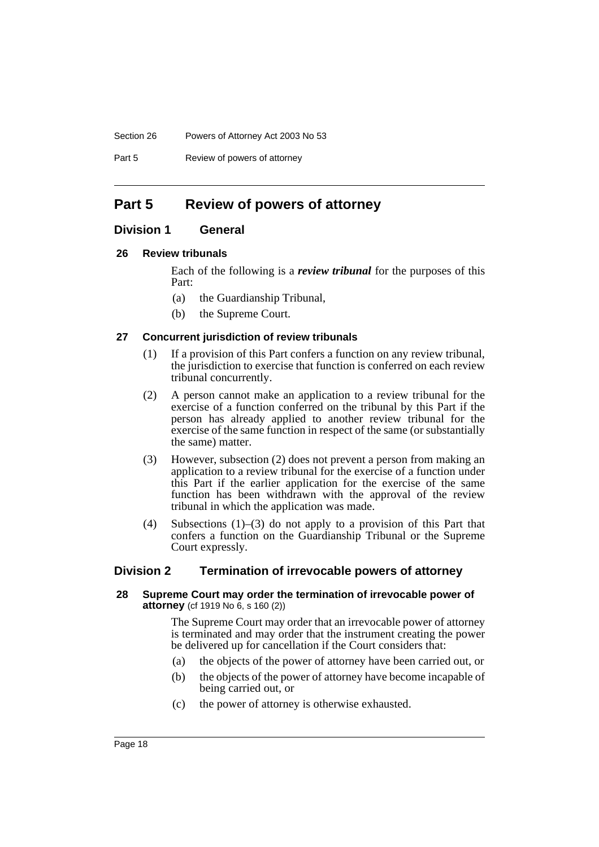#### Section 26 Powers of Attorney Act 2003 No 53

Part 5 Review of powers of attorney

### **Part 5 Review of powers of attorney**

### **Division 1 General**

#### **26 Review tribunals**

Each of the following is a *review tribunal* for the purposes of this Part:

- (a) the Guardianship Tribunal,
- (b) the Supreme Court.

#### **27 Concurrent jurisdiction of review tribunals**

- (1) If a provision of this Part confers a function on any review tribunal, the jurisdiction to exercise that function is conferred on each review tribunal concurrently.
- (2) A person cannot make an application to a review tribunal for the exercise of a function conferred on the tribunal by this Part if the person has already applied to another review tribunal for the exercise of the same function in respect of the same (or substantially the same) matter.
- (3) However, subsection (2) does not prevent a person from making an application to a review tribunal for the exercise of a function under this Part if the earlier application for the exercise of the same function has been withdrawn with the approval of the review tribunal in which the application was made.
- (4) Subsections (1)–(3) do not apply to a provision of this Part that confers a function on the Guardianship Tribunal or the Supreme Court expressly.

#### **Division 2 Termination of irrevocable powers of attorney**

#### **28 Supreme Court may order the termination of irrevocable power of attorney** (cf 1919 No 6, s 160 (2))

The Supreme Court may order that an irrevocable power of attorney is terminated and may order that the instrument creating the power be delivered up for cancellation if the Court considers that:

- (a) the objects of the power of attorney have been carried out, or
- (b) the objects of the power of attorney have become incapable of being carried out, or
- (c) the power of attorney is otherwise exhausted.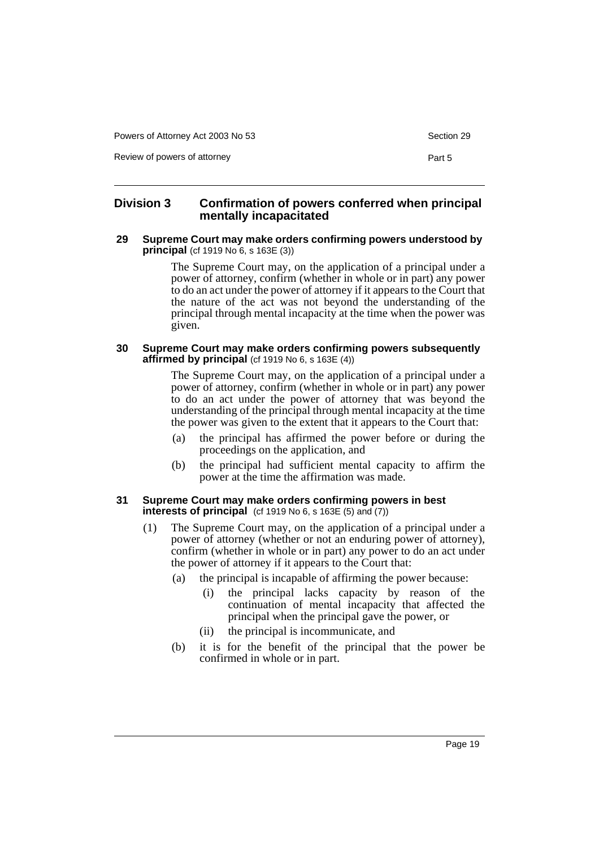Powers of Attorney Act 2003 No 53 Section 29

Review of powers of attorney **Part 5** and 2008 and 2008 and 2008 and 2008 and 2008 and 2008 and 2008 and 2008 and 2008 and 2008 and 2008 and 2008 and 2008 and 2008 and 2008 and 2008 and 2008 and 2008 and 2008 and 2008 and

#### **Division 3 Confirmation of powers conferred when principal mentally incapacitated**

#### **29 Supreme Court may make orders confirming powers understood by principal** (cf 1919 No 6, s 163E (3))

The Supreme Court may, on the application of a principal under a power of attorney, confirm (whether in whole or in part) any power to do an act under the power of attorney if it appears to the Court that the nature of the act was not beyond the understanding of the principal through mental incapacity at the time when the power was given.

#### **30 Supreme Court may make orders confirming powers subsequently affirmed by principal** (cf 1919 No 6, s 163E (4))

The Supreme Court may, on the application of a principal under a power of attorney, confirm (whether in whole or in part) any power to do an act under the power of attorney that was beyond the understanding of the principal through mental incapacity at the time the power was given to the extent that it appears to the Court that:

- (a) the principal has affirmed the power before or during the proceedings on the application, and
- (b) the principal had sufficient mental capacity to affirm the power at the time the affirmation was made.

#### **31 Supreme Court may make orders confirming powers in best interests of principal** (cf 1919 No 6, s 163E (5) and (7))

- (1) The Supreme Court may, on the application of a principal under a power of attorney (whether or not an enduring power of attorney), confirm (whether in whole or in part) any power to do an act under the power of attorney if it appears to the Court that:
	- (a) the principal is incapable of affirming the power because:
		- (i) the principal lacks capacity by reason of the continuation of mental incapacity that affected the principal when the principal gave the power, or
		- (ii) the principal is incommunicate, and
	- (b) it is for the benefit of the principal that the power be confirmed in whole or in part.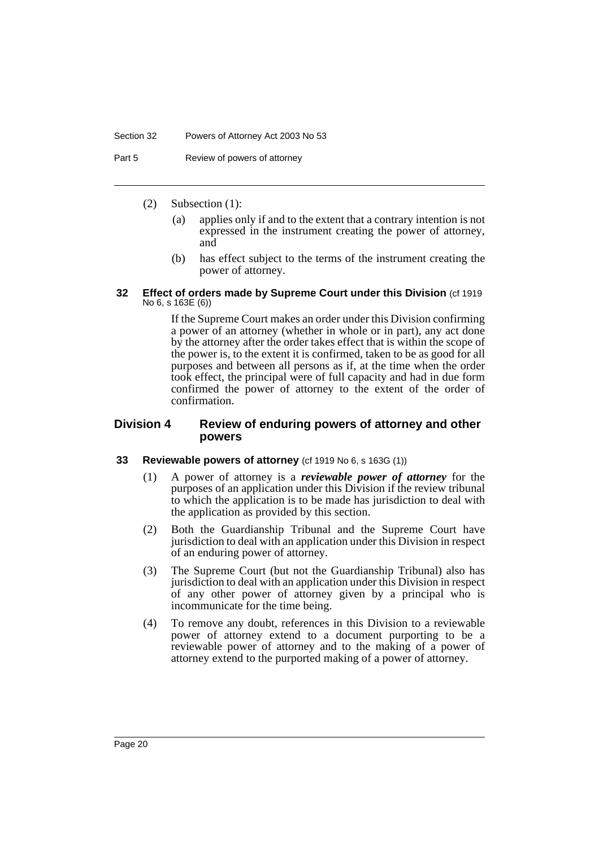#### Section 32 Powers of Attorney Act 2003 No 53

Part 5 Review of powers of attorney

- (2) Subsection (1):
	- (a) applies only if and to the extent that a contrary intention is not expressed in the instrument creating the power of attorney, and
	- (b) has effect subject to the terms of the instrument creating the power of attorney.

#### **32 Effect of orders made by Supreme Court under this Division** (cf 1919 No 6, s 163E (6))

If the Supreme Court makes an order under this Division confirming a power of an attorney (whether in whole or in part), any act done by the attorney after the order takes effect that is within the scope of the power is, to the extent it is confirmed, taken to be as good for all purposes and between all persons as if, at the time when the order took effect, the principal were of full capacity and had in due form confirmed the power of attorney to the extent of the order of confirmation.

#### **Division 4 Review of enduring powers of attorney and other powers**

#### **33 Reviewable powers of attorney** (cf 1919 No 6, s 163G (1))

- (1) A power of attorney is a *reviewable power of attorney* for the purposes of an application under this Division if the review tribunal to which the application is to be made has jurisdiction to deal with the application as provided by this section.
- (2) Both the Guardianship Tribunal and the Supreme Court have jurisdiction to deal with an application under this Division in respect of an enduring power of attorney.
- (3) The Supreme Court (but not the Guardianship Tribunal) also has jurisdiction to deal with an application under this Division in respect of any other power of attorney given by a principal who is incommunicate for the time being.
- (4) To remove any doubt, references in this Division to a reviewable power of attorney extend to a document purporting to be a reviewable power of attorney and to the making of a power of attorney extend to the purported making of a power of attorney.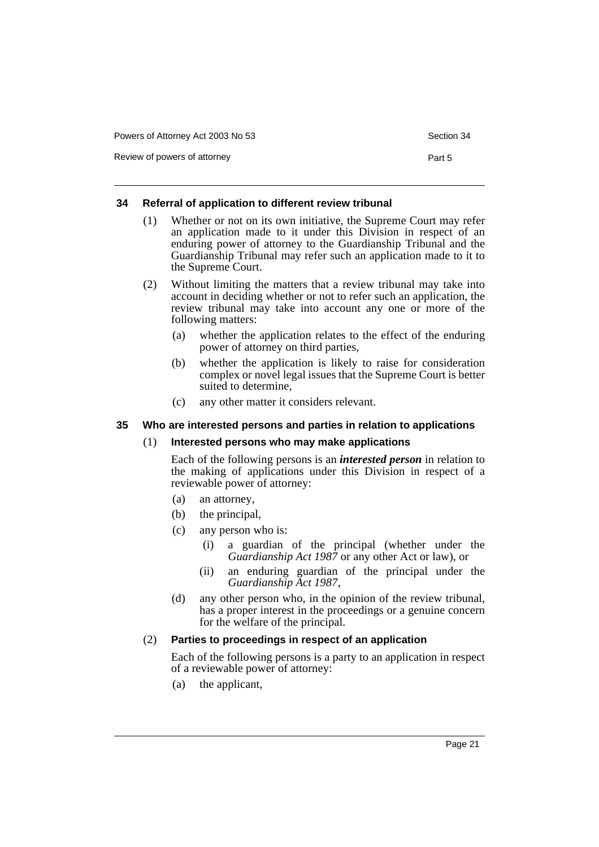| Powers of Attorney Act 2003 No 53 |  |  |  |  |
|-----------------------------------|--|--|--|--|
|-----------------------------------|--|--|--|--|

Review of powers of attorney **Part 5** 

#### **34 Referral of application to different review tribunal**

- (1) Whether or not on its own initiative, the Supreme Court may refer an application made to it under this Division in respect of an enduring power of attorney to the Guardianship Tribunal and the Guardianship Tribunal may refer such an application made to it to the Supreme Court.
- (2) Without limiting the matters that a review tribunal may take into account in deciding whether or not to refer such an application, the review tribunal may take into account any one or more of the following matters:
	- (a) whether the application relates to the effect of the enduring power of attorney on third parties,
	- (b) whether the application is likely to raise for consideration complex or novel legal issues that the Supreme Court is better suited to determine,
	- (c) any other matter it considers relevant.

#### **35 Who are interested persons and parties in relation to applications**

#### (1) **Interested persons who may make applications**

Each of the following persons is an *interested person* in relation to the making of applications under this Division in respect of a reviewable power of attorney:

- (a) an attorney,
- (b) the principal,
- (c) any person who is:
	- (i) a guardian of the principal (whether under the *Guardianship Act 1987* or any other Act or law), or
	- (ii) an enduring guardian of the principal under the *Guardianship Act 1987*,
- (d) any other person who, in the opinion of the review tribunal, has a proper interest in the proceedings or a genuine concern for the welfare of the principal.

#### (2) **Parties to proceedings in respect of an application**

Each of the following persons is a party to an application in respect of a reviewable power of attorney:

(a) the applicant,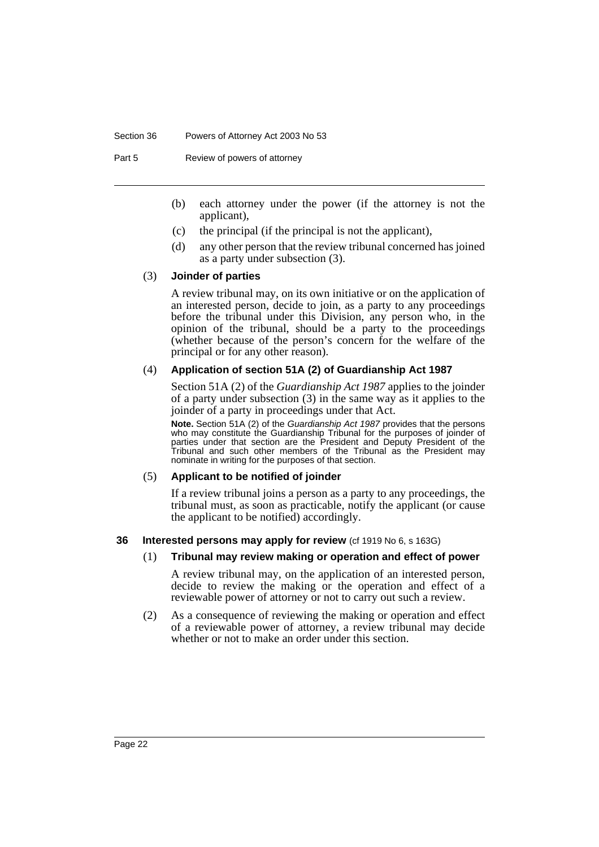#### Section 36 Powers of Attorney Act 2003 No 53

Part 5 Review of powers of attorney

- (b) each attorney under the power (if the attorney is not the applicant),
- (c) the principal (if the principal is not the applicant),
- (d) any other person that the review tribunal concerned has joined as a party under subsection (3).

#### (3) **Joinder of parties**

A review tribunal may, on its own initiative or on the application of an interested person, decide to join, as a party to any proceedings before the tribunal under this Division, any person who, in the opinion of the tribunal, should be a party to the proceedings (whether because of the person's concern for the welfare of the principal or for any other reason).

#### (4) **Application of section 51A (2) of Guardianship Act 1987**

Section 51A (2) of the *Guardianship Act 1987* applies to the joinder of a party under subsection (3) in the same way as it applies to the joinder of a party in proceedings under that Act.

**Note.** Section 51A (2) of the Guardianship Act 1987 provides that the persons who may constitute the Guardianship Tribunal for the purposes of joinder of parties under that section are the President and Deputy President of the Tribunal and such other members of the Tribunal as the President may nominate in writing for the purposes of that section.

#### (5) **Applicant to be notified of joinder**

If a review tribunal joins a person as a party to any proceedings, the tribunal must, as soon as practicable, notify the applicant (or cause the applicant to be notified) accordingly.

#### **36 Interested persons may apply for review** (cf 1919 No 6, s 163G)

#### (1) **Tribunal may review making or operation and effect of power**

A review tribunal may, on the application of an interested person, decide to review the making or the operation and effect of a reviewable power of attorney or not to carry out such a review.

(2) As a consequence of reviewing the making or operation and effect of a reviewable power of attorney, a review tribunal may decide whether or not to make an order under this section.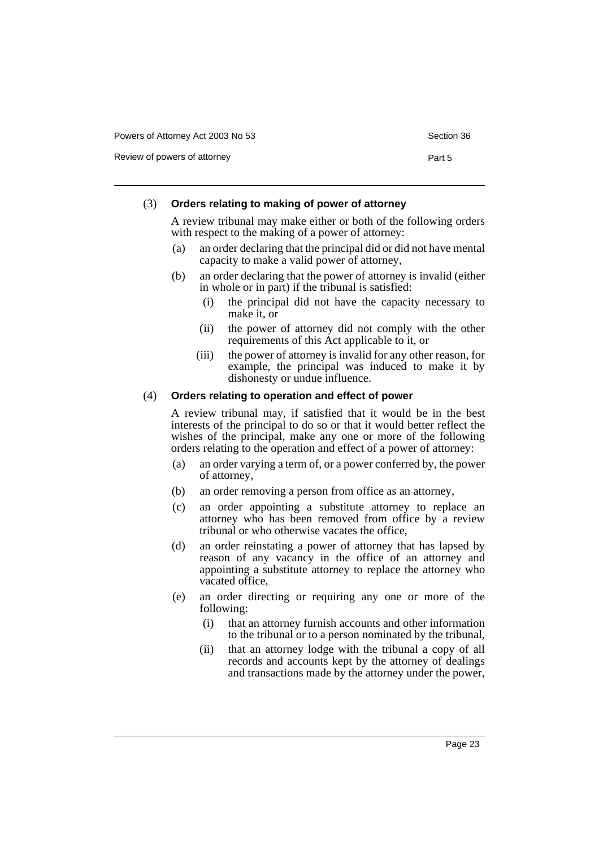Review of powers of attorney **Part 5** 

#### (3) **Orders relating to making of power of attorney**

A review tribunal may make either or both of the following orders with respect to the making of a power of attorney:

- (a) an order declaring that the principal did or did not have mental capacity to make a valid power of attorney,
- (b) an order declaring that the power of attorney is invalid (either in whole or in part) if the tribunal is satisfied:
	- (i) the principal did not have the capacity necessary to make it, or
	- (ii) the power of attorney did not comply with the other requirements of this Act applicable to it, or
	- (iii) the power of attorney is invalid for any other reason, for example, the principal was induced to make it by dishonesty or undue influence.

#### (4) **Orders relating to operation and effect of power**

A review tribunal may, if satisfied that it would be in the best interests of the principal to do so or that it would better reflect the wishes of the principal, make any one or more of the following orders relating to the operation and effect of a power of attorney:

- (a) an order varying a term of, or a power conferred by, the power of attorney,
- (b) an order removing a person from office as an attorney,
- (c) an order appointing a substitute attorney to replace an attorney who has been removed from office by a review tribunal or who otherwise vacates the office,
- (d) an order reinstating a power of attorney that has lapsed by reason of any vacancy in the office of an attorney and appointing a substitute attorney to replace the attorney who vacated office,
- (e) an order directing or requiring any one or more of the following:
	- (i) that an attorney furnish accounts and other information to the tribunal or to a person nominated by the tribunal,
	- (ii) that an attorney lodge with the tribunal a copy of all records and accounts kept by the attorney of dealings and transactions made by the attorney under the power,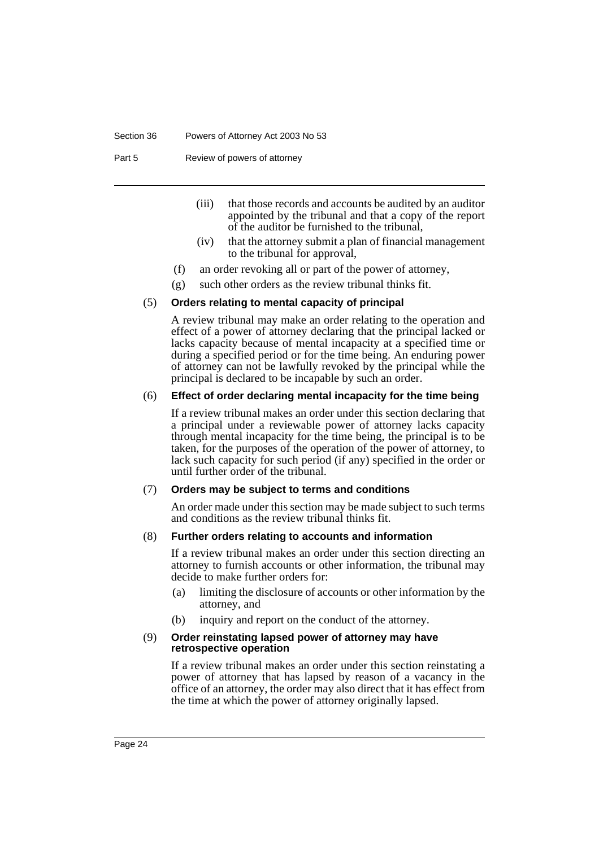#### Section 36 Powers of Attorney Act 2003 No 53

Part 5 Review of powers of attorney

- (iii) that those records and accounts be audited by an auditor appointed by the tribunal and that a copy of the report of the auditor be furnished to the tribunal,
- (iv) that the attorney submit a plan of financial management to the tribunal for approval,
- (f) an order revoking all or part of the power of attorney,
- (g) such other orders as the review tribunal thinks fit.

#### (5) **Orders relating to mental capacity of principal**

A review tribunal may make an order relating to the operation and effect of a power of attorney declaring that the principal lacked or lacks capacity because of mental incapacity at a specified time or during a specified period or for the time being. An enduring power of attorney can not be lawfully revoked by the principal while the principal is declared to be incapable by such an order.

#### (6) **Effect of order declaring mental incapacity for the time being**

If a review tribunal makes an order under this section declaring that a principal under a reviewable power of attorney lacks capacity through mental incapacity for the time being, the principal is to be taken, for the purposes of the operation of the power of attorney, to lack such capacity for such period (if any) specified in the order or until further order of the tribunal.

#### (7) **Orders may be subject to terms and conditions**

An order made under this section may be made subject to such terms and conditions as the review tribunal thinks fit.

#### (8) **Further orders relating to accounts and information**

If a review tribunal makes an order under this section directing an attorney to furnish accounts or other information, the tribunal may decide to make further orders for:

- (a) limiting the disclosure of accounts or other information by the attorney, and
- (b) inquiry and report on the conduct of the attorney.

#### (9) **Order reinstating lapsed power of attorney may have retrospective operation**

If a review tribunal makes an order under this section reinstating a power of attorney that has lapsed by reason of a vacancy in the office of an attorney, the order may also direct that it has effect from the time at which the power of attorney originally lapsed.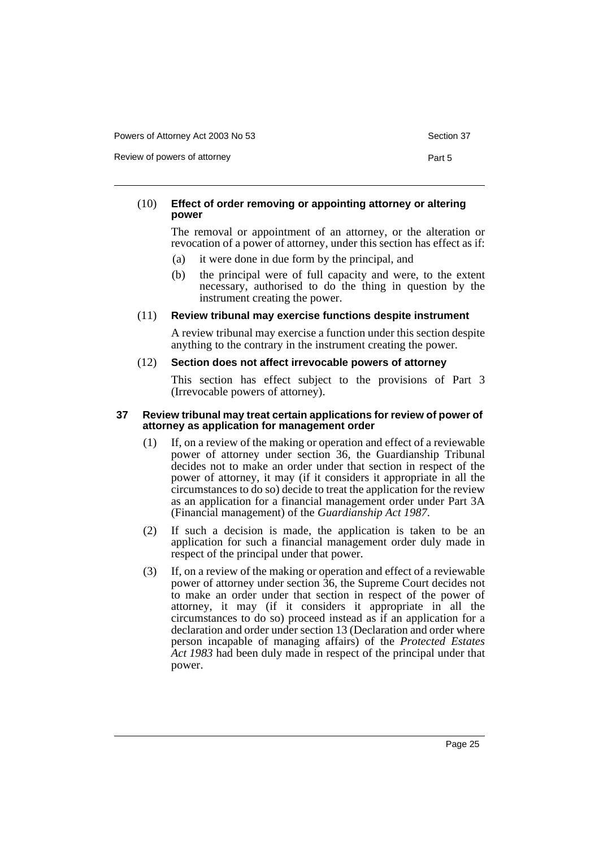Powers of Attorney Act 2003 No 53 Section 37

Review of powers of attorney **Part 5** 

#### (10) **Effect of order removing or appointing attorney or altering power**

The removal or appointment of an attorney, or the alteration or revocation of a power of attorney, under this section has effect as if:

- (a) it were done in due form by the principal, and
- (b) the principal were of full capacity and were, to the extent necessary, authorised to do the thing in question by the instrument creating the power.

#### (11) **Review tribunal may exercise functions despite instrument**

A review tribunal may exercise a function under this section despite anything to the contrary in the instrument creating the power.

#### (12) **Section does not affect irrevocable powers of attorney**

This section has effect subject to the provisions of Part 3 (Irrevocable powers of attorney).

#### **37 Review tribunal may treat certain applications for review of power of attorney as application for management order**

- (1) If, on a review of the making or operation and effect of a reviewable power of attorney under section 36, the Guardianship Tribunal decides not to make an order under that section in respect of the power of attorney, it may (if it considers it appropriate in all the circumstances to do so) decide to treat the application for the review as an application for a financial management order under Part 3A (Financial management) of the *Guardianship Act 1987*.
- (2) If such a decision is made, the application is taken to be an application for such a financial management order duly made in respect of the principal under that power.
- (3) If, on a review of the making or operation and effect of a reviewable power of attorney under section 36, the Supreme Court decides not to make an order under that section in respect of the power of attorney, it may (if it considers it appropriate in all the circumstances to do so) proceed instead as if an application for a declaration and order under section 13 (Declaration and order where person incapable of managing affairs) of the *Protected Estates Act 1983* had been duly made in respect of the principal under that power.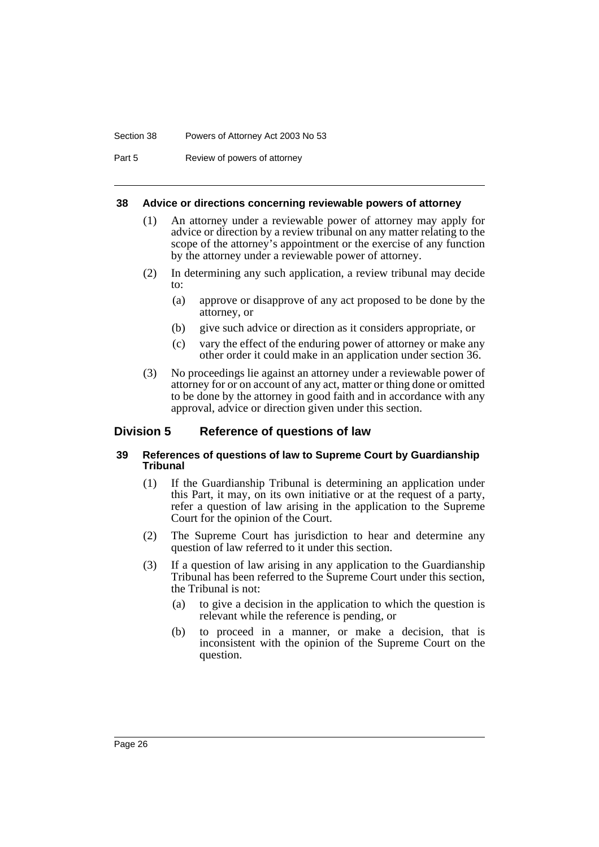#### Section 38 Powers of Attorney Act 2003 No 53

Part 5 Review of powers of attorney

#### **38 Advice or directions concerning reviewable powers of attorney**

- (1) An attorney under a reviewable power of attorney may apply for advice or direction by a review tribunal on any matter relating to the scope of the attorney's appointment or the exercise of any function by the attorney under a reviewable power of attorney.
- (2) In determining any such application, a review tribunal may decide to:
	- (a) approve or disapprove of any act proposed to be done by the attorney, or
	- (b) give such advice or direction as it considers appropriate, or
	- (c) vary the effect of the enduring power of attorney or make any other order it could make in an application under section 36.
- (3) No proceedings lie against an attorney under a reviewable power of attorney for or on account of any act, matter or thing done or omitted to be done by the attorney in good faith and in accordance with any approval, advice or direction given under this section.

#### **Division 5 Reference of questions of law**

#### **39 References of questions of law to Supreme Court by Guardianship Tribunal**

- (1) If the Guardianship Tribunal is determining an application under this Part, it may, on its own initiative or at the request of a party, refer a question of law arising in the application to the Supreme Court for the opinion of the Court.
- (2) The Supreme Court has jurisdiction to hear and determine any question of law referred to it under this section.
- (3) If a question of law arising in any application to the Guardianship Tribunal has been referred to the Supreme Court under this section, the Tribunal is not:
	- (a) to give a decision in the application to which the question is relevant while the reference is pending, or
	- (b) to proceed in a manner, or make a decision, that is inconsistent with the opinion of the Supreme Court on the question.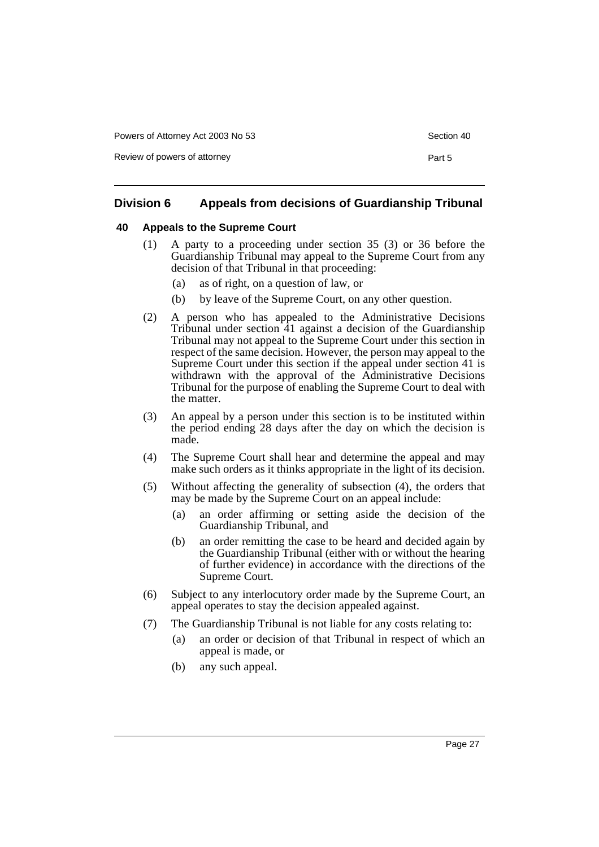Powers of Attorney Act 2003 No 53 Section 400 Section 40

Review of powers of attorney **Part 5** 

| Section 40 |  |
|------------|--|
|            |  |

### **Division 6 Appeals from decisions of Guardianship Tribunal**

#### **40 Appeals to the Supreme Court**

- (1) A party to a proceeding under section 35 (3) or 36 before the Guardianship Tribunal may appeal to the Supreme Court from any decision of that Tribunal in that proceeding:
	- (a) as of right, on a question of law, or
	- (b) by leave of the Supreme Court, on any other question.
- (2) A person who has appealed to the Administrative Decisions Tribunal under section 41 against a decision of the Guardianship Tribunal may not appeal to the Supreme Court under this section in respect of the same decision. However, the person may appeal to the Supreme Court under this section if the appeal under section 41 is withdrawn with the approval of the Administrative Decisions Tribunal for the purpose of enabling the Supreme Court to deal with the matter.
- (3) An appeal by a person under this section is to be instituted within the period ending 28 days after the day on which the decision is made.
- (4) The Supreme Court shall hear and determine the appeal and may make such orders as it thinks appropriate in the light of its decision.
- (5) Without affecting the generality of subsection (4), the orders that may be made by the Supreme Court on an appeal include:
	- (a) an order affirming or setting aside the decision of the Guardianship Tribunal, and
	- (b) an order remitting the case to be heard and decided again by the Guardianship Tribunal (either with or without the hearing of further evidence) in accordance with the directions of the Supreme Court.
- (6) Subject to any interlocutory order made by the Supreme Court, an appeal operates to stay the decision appealed against.
- (7) The Guardianship Tribunal is not liable for any costs relating to:
	- (a) an order or decision of that Tribunal in respect of which an appeal is made, or
	- (b) any such appeal.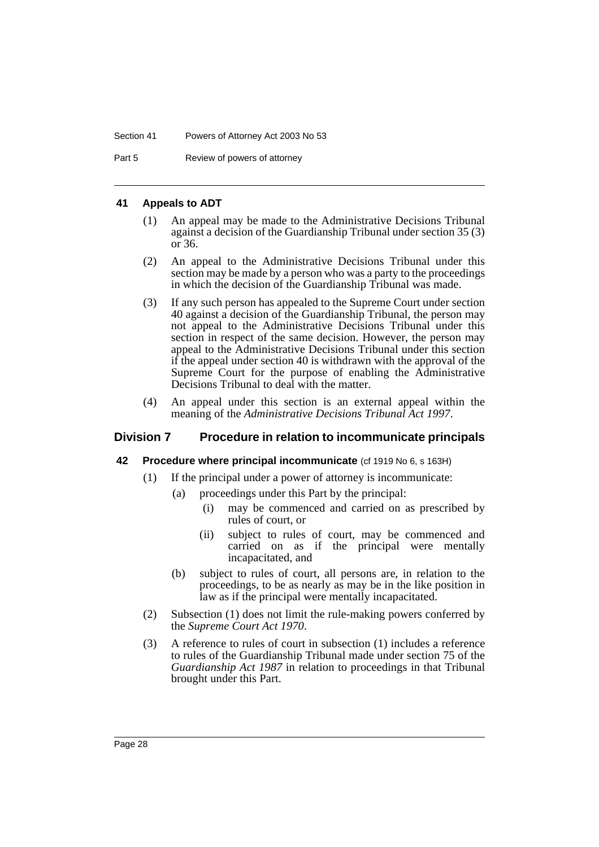Part 5 Review of powers of attorney

#### **41 Appeals to ADT**

- (1) An appeal may be made to the Administrative Decisions Tribunal against a decision of the Guardianship Tribunal under section 35 (3) or 36.
- (2) An appeal to the Administrative Decisions Tribunal under this section may be made by a person who was a party to the proceedings in which the decision of the Guardianship Tribunal was made.
- (3) If any such person has appealed to the Supreme Court under section 40 against a decision of the Guardianship Tribunal, the person may not appeal to the Administrative Decisions Tribunal under this section in respect of the same decision. However, the person may appeal to the Administrative Decisions Tribunal under this section if the appeal under section 40 is withdrawn with the approval of the Supreme Court for the purpose of enabling the Administrative Decisions Tribunal to deal with the matter.
- (4) An appeal under this section is an external appeal within the meaning of the *Administrative Decisions Tribunal Act 1997*.

### **Division 7 Procedure in relation to incommunicate principals**

#### **42 Procedure where principal incommunicate** (cf 1919 No 6, s 163H)

- (1) If the principal under a power of attorney is incommunicate:
	- (a) proceedings under this Part by the principal:
		- (i) may be commenced and carried on as prescribed by rules of court, or
		- (ii) subject to rules of court, may be commenced and carried on as if the principal were mentally incapacitated, and
	- (b) subject to rules of court, all persons are, in relation to the proceedings, to be as nearly as may be in the like position in law as if the principal were mentally incapacitated.
- (2) Subsection (1) does not limit the rule-making powers conferred by the *Supreme Court Act 1970*.
- (3) A reference to rules of court in subsection (1) includes a reference to rules of the Guardianship Tribunal made under section 75 of the *Guardianship Act 1987* in relation to proceedings in that Tribunal brought under this Part.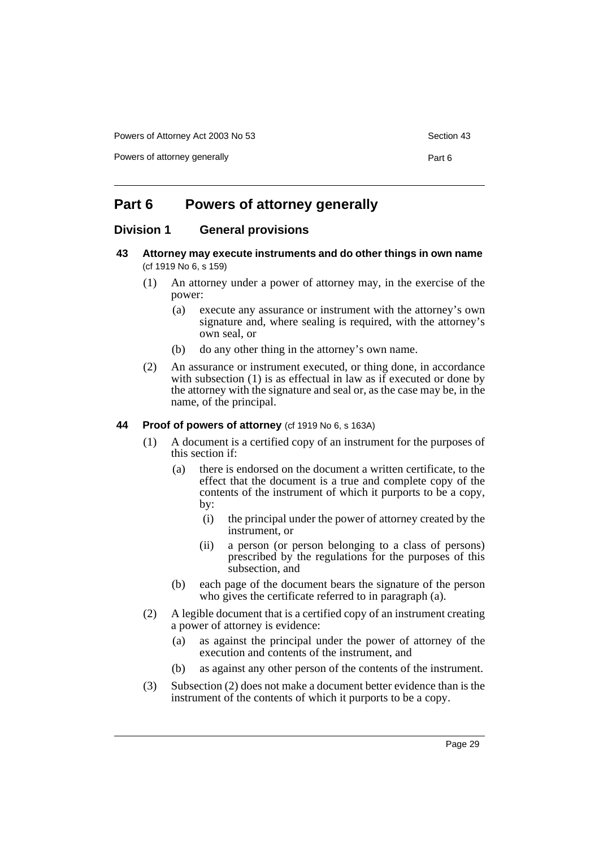Powers of Attorney Act 2003 No 53 Section 43

Powers of attorney generally example of the Part 6

### **Part 6 Powers of attorney generally**

#### **Division 1 General provisions**

- **43 Attorney may execute instruments and do other things in own name**  (cf 1919 No 6, s 159)
	- (1) An attorney under a power of attorney may, in the exercise of the power:
		- (a) execute any assurance or instrument with the attorney's own signature and, where sealing is required, with the attorney's own seal, or
		- (b) do any other thing in the attorney's own name.
	- (2) An assurance or instrument executed, or thing done, in accordance with subsection (1) is as effectual in law as if executed or done by the attorney with the signature and seal or, as the case may be, in the name, of the principal.

#### **44 Proof of powers of attorney** (cf 1919 No 6, s 163A)

- (1) A document is a certified copy of an instrument for the purposes of this section if:
	- (a) there is endorsed on the document a written certificate, to the effect that the document is a true and complete copy of the contents of the instrument of which it purports to be a copy, by:
		- (i) the principal under the power of attorney created by the instrument, or
		- (ii) a person (or person belonging to a class of persons) prescribed by the regulations for the purposes of this subsection, and
	- (b) each page of the document bears the signature of the person who gives the certificate referred to in paragraph (a).
- (2) A legible document that is a certified copy of an instrument creating a power of attorney is evidence:
	- (a) as against the principal under the power of attorney of the execution and contents of the instrument, and
	- (b) as against any other person of the contents of the instrument.
- (3) Subsection (2) does not make a document better evidence than is the instrument of the contents of which it purports to be a copy.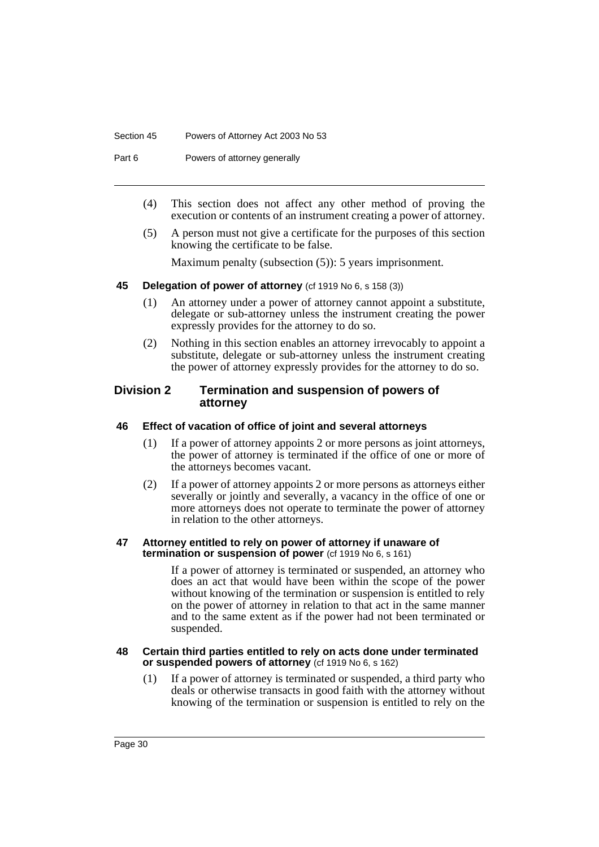#### Section 45 Powers of Attorney Act 2003 No 53

Part 6 **Powers of attorney generally** 

- (4) This section does not affect any other method of proving the execution or contents of an instrument creating a power of attorney.
- (5) A person must not give a certificate for the purposes of this section knowing the certificate to be false.

Maximum penalty (subsection (5)): 5 years imprisonment.

#### **45 Delegation of power of attorney** (cf 1919 No 6, s 158 (3))

- (1) An attorney under a power of attorney cannot appoint a substitute, delegate or sub-attorney unless the instrument creating the power expressly provides for the attorney to do so.
- (2) Nothing in this section enables an attorney irrevocably to appoint a substitute, delegate or sub-attorney unless the instrument creating the power of attorney expressly provides for the attorney to do so.

#### **Division 2 Termination and suspension of powers of attorney**

#### **46 Effect of vacation of office of joint and several attorneys**

- (1) If a power of attorney appoints 2 or more persons as joint attorneys, the power of attorney is terminated if the office of one or more of the attorneys becomes vacant.
- (2) If a power of attorney appoints 2 or more persons as attorneys either severally or jointly and severally, a vacancy in the office of one or more attorneys does not operate to terminate the power of attorney in relation to the other attorneys.

#### **47 Attorney entitled to rely on power of attorney if unaware of termination or suspension of power** (cf 1919 No 6, s 161)

If a power of attorney is terminated or suspended, an attorney who does an act that would have been within the scope of the power without knowing of the termination or suspension is entitled to rely on the power of attorney in relation to that act in the same manner and to the same extent as if the power had not been terminated or suspended.

#### **48 Certain third parties entitled to rely on acts done under terminated or suspended powers of attorney** (cf 1919 No 6, s 162)

(1) If a power of attorney is terminated or suspended, a third party who deals or otherwise transacts in good faith with the attorney without knowing of the termination or suspension is entitled to rely on the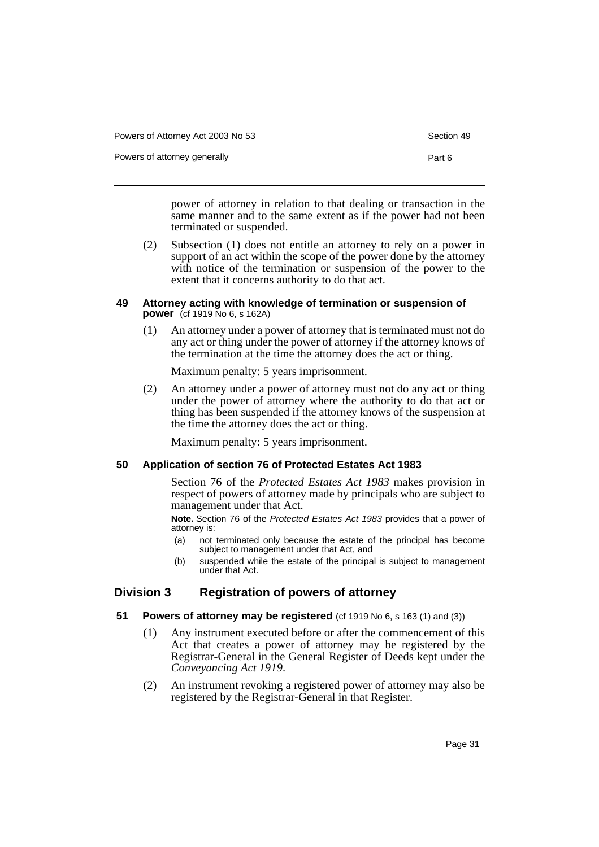Powers of Attorney Act 2003 No 53 Section 49

Powers of attorney generally example and the Part 6

power of attorney in relation to that dealing or transaction in the same manner and to the same extent as if the power had not been terminated or suspended.

(2) Subsection (1) does not entitle an attorney to rely on a power in support of an act within the scope of the power done by the attorney with notice of the termination or suspension of the power to the extent that it concerns authority to do that act.

#### **49 Attorney acting with knowledge of termination or suspension of power** (cf 1919 No 6, s 162A)

(1) An attorney under a power of attorney that is terminated must not do any act or thing under the power of attorney if the attorney knows of the termination at the time the attorney does the act or thing.

Maximum penalty: 5 years imprisonment.

(2) An attorney under a power of attorney must not do any act or thing under the power of attorney where the authority to do that act or thing has been suspended if the attorney knows of the suspension at the time the attorney does the act or thing.

Maximum penalty: 5 years imprisonment.

#### **50 Application of section 76 of Protected Estates Act 1983**

Section 76 of the *Protected Estates Act 1983* makes provision in respect of powers of attorney made by principals who are subject to management under that Act.

**Note.** Section 76 of the Protected Estates Act 1983 provides that a power of attorney is:

- (a) not terminated only because the estate of the principal has become subject to management under that Act, and
- (b) suspended while the estate of the principal is subject to management under that Act.

#### **Division 3 Registration of powers of attorney**

- **51 Powers of attorney may be registered** (cf 1919 No 6, s 163 (1) and (3))
	- (1) Any instrument executed before or after the commencement of this Act that creates a power of attorney may be registered by the Registrar-General in the General Register of Deeds kept under the *Conveyancing Act 1919*.
	- (2) An instrument revoking a registered power of attorney may also be registered by the Registrar-General in that Register.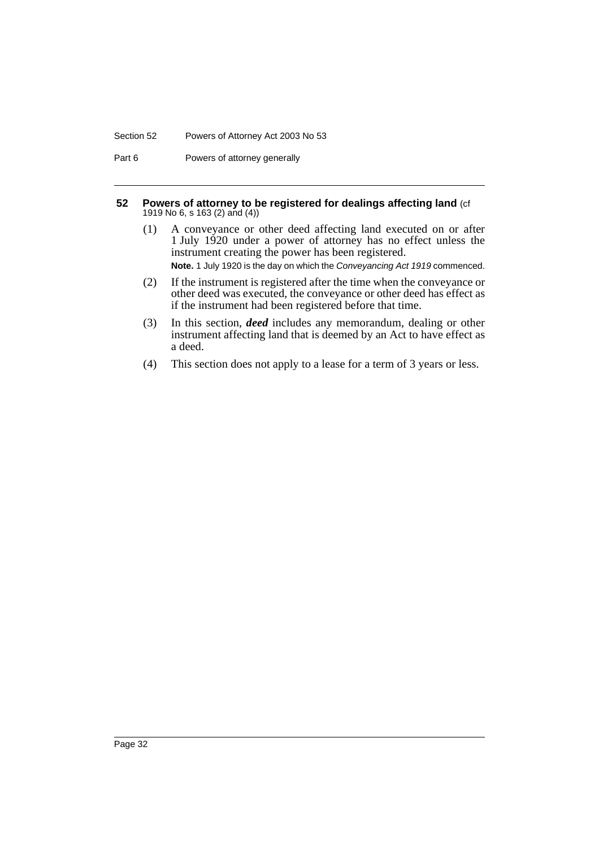#### Section 52 Powers of Attorney Act 2003 No 53

Part 6 **Powers of attorney generally** 

#### **52 Powers of attorney to be registered for dealings affecting land** (cf 1919 No 6, s 163 (2) and (4))

- (1) A conveyance or other deed affecting land executed on or after 1 July 1920 under a power of attorney has no effect unless the instrument creating the power has been registered. **Note.** 1 July 1920 is the day on which the Conveyancing Act 1919 commenced.
- (2) If the instrument is registered after the time when the conveyance or other deed was executed, the conveyance or other deed has effect as if the instrument had been registered before that time.
- (3) In this section, *deed* includes any memorandum, dealing or other instrument affecting land that is deemed by an Act to have effect as a deed.
- (4) This section does not apply to a lease for a term of 3 years or less.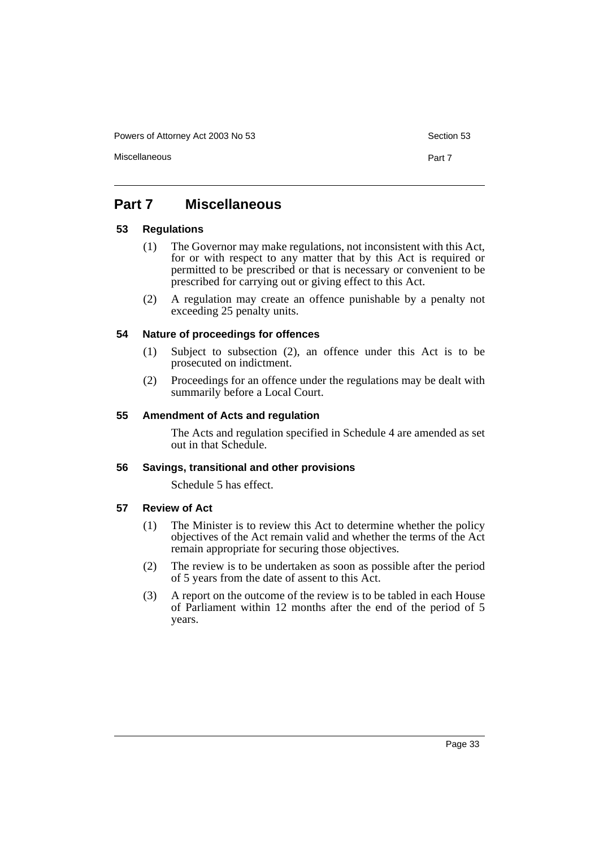Powers of Attorney Act 2003 No 53 Section 53

Miscellaneous Part 7

### **Part 7 Miscellaneous**

#### **53 Regulations**

- (1) The Governor may make regulations, not inconsistent with this Act, for or with respect to any matter that by this Act is required or permitted to be prescribed or that is necessary or convenient to be prescribed for carrying out or giving effect to this Act.
- (2) A regulation may create an offence punishable by a penalty not exceeding 25 penalty units.

#### **54 Nature of proceedings for offences**

- (1) Subject to subsection (2), an offence under this Act is to be prosecuted on indictment.
- (2) Proceedings for an offence under the regulations may be dealt with summarily before a Local Court.

#### **55 Amendment of Acts and regulation**

The Acts and regulation specified in Schedule 4 are amended as set out in that Schedule.

#### **56 Savings, transitional and other provisions**

Schedule 5 has effect.

#### **57 Review of Act**

- (1) The Minister is to review this Act to determine whether the policy objectives of the Act remain valid and whether the terms of the Act remain appropriate for securing those objectives.
- (2) The review is to be undertaken as soon as possible after the period of 5 years from the date of assent to this Act.
- (3) A report on the outcome of the review is to be tabled in each House of Parliament within 12 months after the end of the period of 5 years.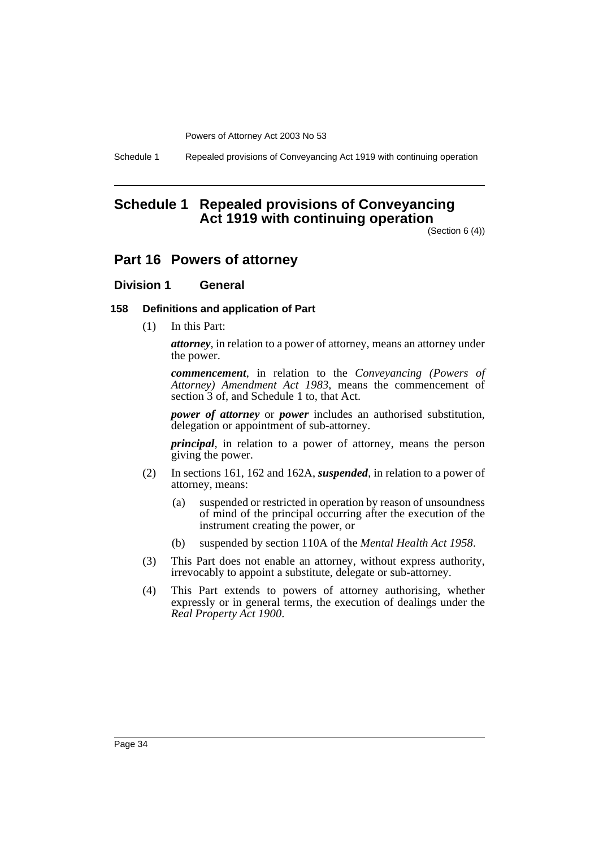Schedule 1 Repealed provisions of Conveyancing Act 1919 with continuing operation

### **Schedule 1 Repealed provisions of Conveyancing Act 1919 with continuing operation**

(Section 6 (4))

### **Part 16 Powers of attorney**

### **Division 1 General**

#### **158 Definitions and application of Part**

(1) In this Part:

*attorney*, in relation to a power of attorney, means an attorney under the power.

*commencement*, in relation to the *Conveyancing (Powers of Attorney) Amendment Act 1983*, means the commencement of section  $\tilde{3}$  of, and Schedule 1 to, that Act.

*power of attorney* or *power* includes an authorised substitution, delegation or appointment of sub-attorney.

*principal*, in relation to a power of attorney, means the person giving the power.

- (2) In sections 161, 162 and 162A, *suspended*, in relation to a power of attorney, means:
	- (a) suspended or restricted in operation by reason of unsoundness of mind of the principal occurring after the execution of the instrument creating the power, or
	- (b) suspended by section 110A of the *Mental Health Act 1958*.
- (3) This Part does not enable an attorney, without express authority, irrevocably to appoint a substitute, delegate or sub-attorney.
- (4) This Part extends to powers of attorney authorising, whether expressly or in general terms, the execution of dealings under the *Real Property Act 1900*.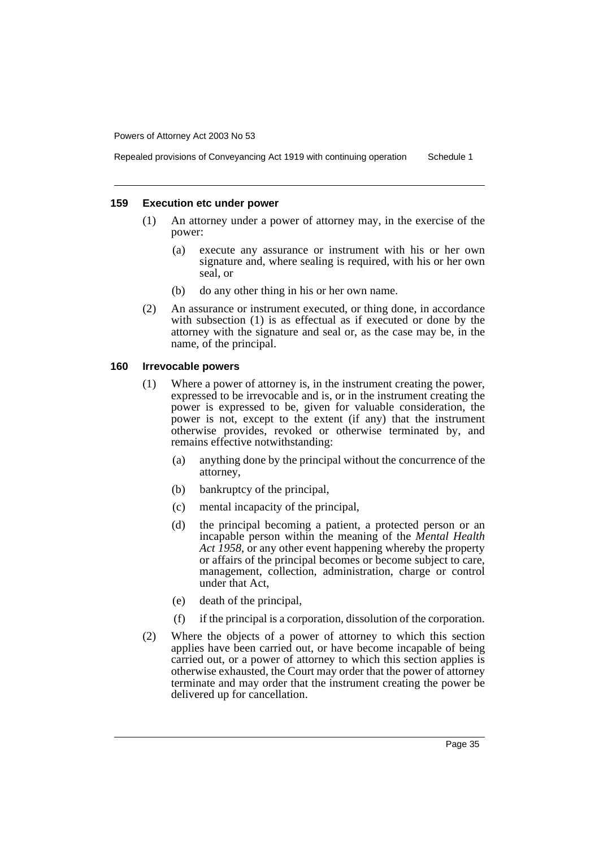Repealed provisions of Conveyancing Act 1919 with continuing operation Schedule 1

#### **159 Execution etc under power**

- (1) An attorney under a power of attorney may, in the exercise of the power:
	- (a) execute any assurance or instrument with his or her own signature and, where sealing is required, with his or her own seal, or
	- (b) do any other thing in his or her own name.
- (2) An assurance or instrument executed, or thing done, in accordance with subsection (1) is as effectual as if executed or done by the attorney with the signature and seal or, as the case may be, in the name, of the principal.

#### **160 Irrevocable powers**

- (1) Where a power of attorney is, in the instrument creating the power, expressed to be irrevocable and is, or in the instrument creating the power is expressed to be, given for valuable consideration, the power is not, except to the extent (if any) that the instrument otherwise provides, revoked or otherwise terminated by, and remains effective notwithstanding:
	- (a) anything done by the principal without the concurrence of the attorney,
	- (b) bankruptcy of the principal,
	- (c) mental incapacity of the principal,
	- (d) the principal becoming a patient, a protected person or an incapable person within the meaning of the *Mental Health Act 1958*, or any other event happening whereby the property or affairs of the principal becomes or become subject to care, management, collection, administration, charge or control under that Act,
	- (e) death of the principal,
	- (f) if the principal is a corporation, dissolution of the corporation.
- (2) Where the objects of a power of attorney to which this section applies have been carried out, or have become incapable of being carried out, or a power of attorney to which this section applies is otherwise exhausted, the Court may order that the power of attorney terminate and may order that the instrument creating the power be delivered up for cancellation.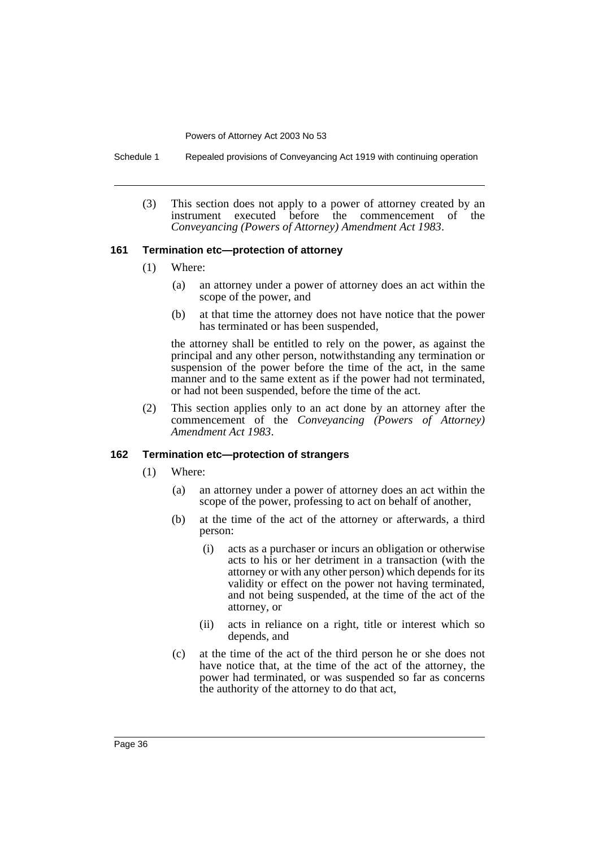Schedule 1 Repealed provisions of Conveyancing Act 1919 with continuing operation

(3) This section does not apply to a power of attorney created by an instrument executed before the commencement of the *Conveyancing (Powers of Attorney) Amendment Act 1983*.

#### **161 Termination etc—protection of attorney**

- (1) Where:
	- (a) an attorney under a power of attorney does an act within the scope of the power, and
	- (b) at that time the attorney does not have notice that the power has terminated or has been suspended,

the attorney shall be entitled to rely on the power, as against the principal and any other person, notwithstanding any termination or suspension of the power before the time of the act, in the same manner and to the same extent as if the power had not terminated, or had not been suspended, before the time of the act.

(2) This section applies only to an act done by an attorney after the commencement of the *Conveyancing (Powers of Attorney) Amendment Act 1983*.

#### **162 Termination etc—protection of strangers**

- (1) Where:
	- (a) an attorney under a power of attorney does an act within the scope of the power, professing to act on behalf of another,
	- (b) at the time of the act of the attorney or afterwards, a third person:
		- (i) acts as a purchaser or incurs an obligation or otherwise acts to his or her detriment in a transaction (with the attorney or with any other person) which depends for its validity or effect on the power not having terminated, and not being suspended, at the time of the act of the attorney, or
		- (ii) acts in reliance on a right, title or interest which so depends, and
	- (c) at the time of the act of the third person he or she does not have notice that, at the time of the act of the attorney, the power had terminated, or was suspended so far as concerns the authority of the attorney to do that act,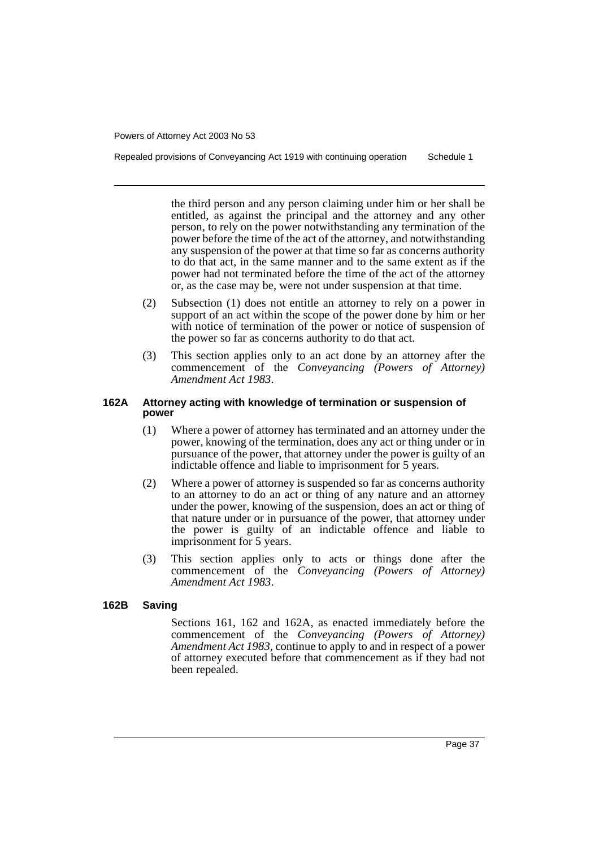Repealed provisions of Conveyancing Act 1919 with continuing operation Schedule 1

the third person and any person claiming under him or her shall be entitled, as against the principal and the attorney and any other person, to rely on the power notwithstanding any termination of the power before the time of the act of the attorney, and notwithstanding any suspension of the power at that time so far as concerns authority to do that act, in the same manner and to the same extent as if the power had not terminated before the time of the act of the attorney or, as the case may be, were not under suspension at that time.

- (2) Subsection (1) does not entitle an attorney to rely on a power in support of an act within the scope of the power done by him or her with notice of termination of the power or notice of suspension of the power so far as concerns authority to do that act.
- (3) This section applies only to an act done by an attorney after the commencement of the *Conveyancing (Powers of Attorney) Amendment Act 1983*.

#### **162A Attorney acting with knowledge of termination or suspension of power**

- (1) Where a power of attorney has terminated and an attorney under the power, knowing of the termination, does any act or thing under or in pursuance of the power, that attorney under the power is guilty of an indictable offence and liable to imprisonment for 5 years.
- (2) Where a power of attorney is suspended so far as concerns authority to an attorney to do an act or thing of any nature and an attorney under the power, knowing of the suspension, does an act or thing of that nature under or in pursuance of the power, that attorney under the power is guilty of an indictable offence and liable to imprisonment for 5 years.
- (3) This section applies only to acts or things done after the commencement of the *Conveyancing (Powers of Attorney) Amendment Act 1983*.

#### **162B Saving**

Sections 161, 162 and 162A, as enacted immediately before the commencement of the *Conveyancing (Powers of Attorney) Amendment Act 1983*, continue to apply to and in respect of a power of attorney executed before that commencement as if they had not been repealed.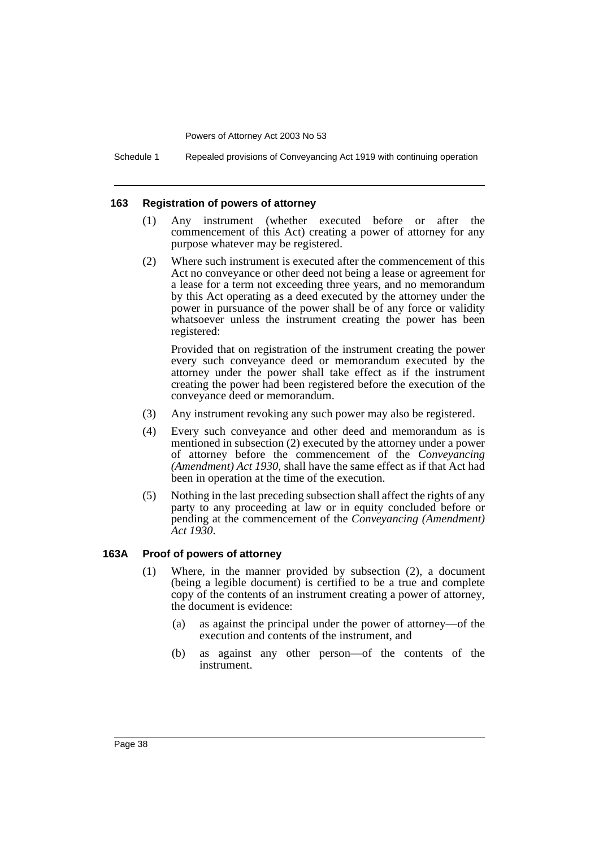Schedule 1 Repealed provisions of Conveyancing Act 1919 with continuing operation

#### **163 Registration of powers of attorney**

- (1) Any instrument (whether executed before or after the commencement of this Act) creating a power of attorney for any purpose whatever may be registered.
- (2) Where such instrument is executed after the commencement of this Act no conveyance or other deed not being a lease or agreement for a lease for a term not exceeding three years, and no memorandum by this Act operating as a deed executed by the attorney under the power in pursuance of the power shall be of any force or validity whatsoever unless the instrument creating the power has been registered:

Provided that on registration of the instrument creating the power every such conveyance deed or memorandum executed by the attorney under the power shall take effect as if the instrument creating the power had been registered before the execution of the conveyance deed or memorandum.

- (3) Any instrument revoking any such power may also be registered.
- (4) Every such conveyance and other deed and memorandum as is mentioned in subsection (2) executed by the attorney under a power of attorney before the commencement of the *Conveyancing (Amendment) Act 1930*, shall have the same effect as if that Act had been in operation at the time of the execution.
- (5) Nothing in the last preceding subsection shall affect the rights of any party to any proceeding at law or in equity concluded before or pending at the commencement of the *Conveyancing (Amendment) Act 1930*.

#### **163A Proof of powers of attorney**

- (1) Where, in the manner provided by subsection (2), a document (being a legible document) is certified to be a true and complete copy of the contents of an instrument creating a power of attorney, the document is evidence:
	- (a) as against the principal under the power of attorney—of the execution and contents of the instrument, and
	- (b) as against any other person—of the contents of the instrument.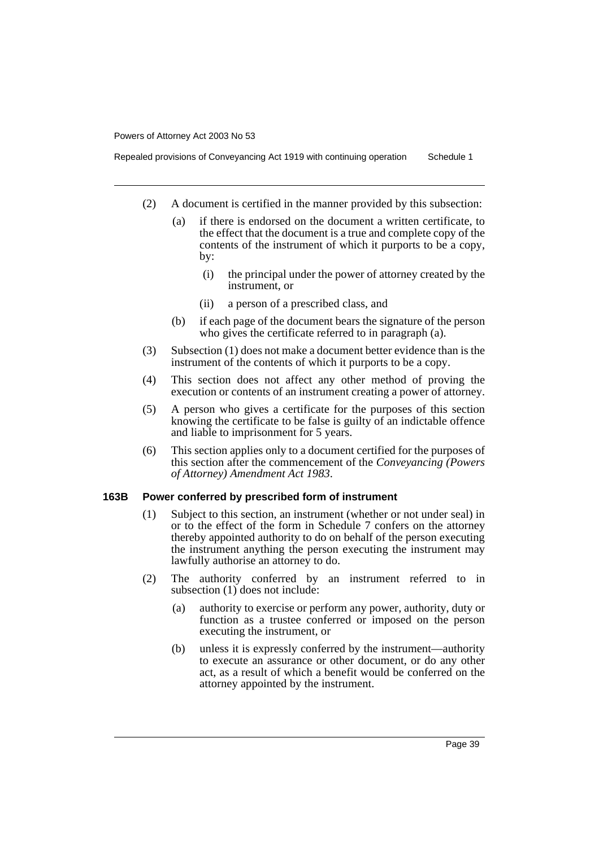Repealed provisions of Conveyancing Act 1919 with continuing operation Schedule 1

- (2) A document is certified in the manner provided by this subsection:
	- (a) if there is endorsed on the document a written certificate, to the effect that the document is a true and complete copy of the contents of the instrument of which it purports to be a copy, by:
		- (i) the principal under the power of attorney created by the instrument, or
		- (ii) a person of a prescribed class, and
	- (b) if each page of the document bears the signature of the person who gives the certificate referred to in paragraph (a).
- (3) Subsection (1) does not make a document better evidence than is the instrument of the contents of which it purports to be a copy.
- (4) This section does not affect any other method of proving the execution or contents of an instrument creating a power of attorney.
- (5) A person who gives a certificate for the purposes of this section knowing the certificate to be false is guilty of an indictable offence and liable to imprisonment for 5 years.
- (6) This section applies only to a document certified for the purposes of this section after the commencement of the *Conveyancing (Powers of Attorney) Amendment Act 1983*.

#### **163B Power conferred by prescribed form of instrument**

- (1) Subject to this section, an instrument (whether or not under seal) in or to the effect of the form in Schedule 7 confers on the attorney thereby appointed authority to do on behalf of the person executing the instrument anything the person executing the instrument may lawfully authorise an attorney to do.
- (2) The authority conferred by an instrument referred to in subsection (1) does not include:
	- (a) authority to exercise or perform any power, authority, duty or function as a trustee conferred or imposed on the person executing the instrument, or
	- (b) unless it is expressly conferred by the instrument—authority to execute an assurance or other document, or do any other act, as a result of which a benefit would be conferred on the attorney appointed by the instrument.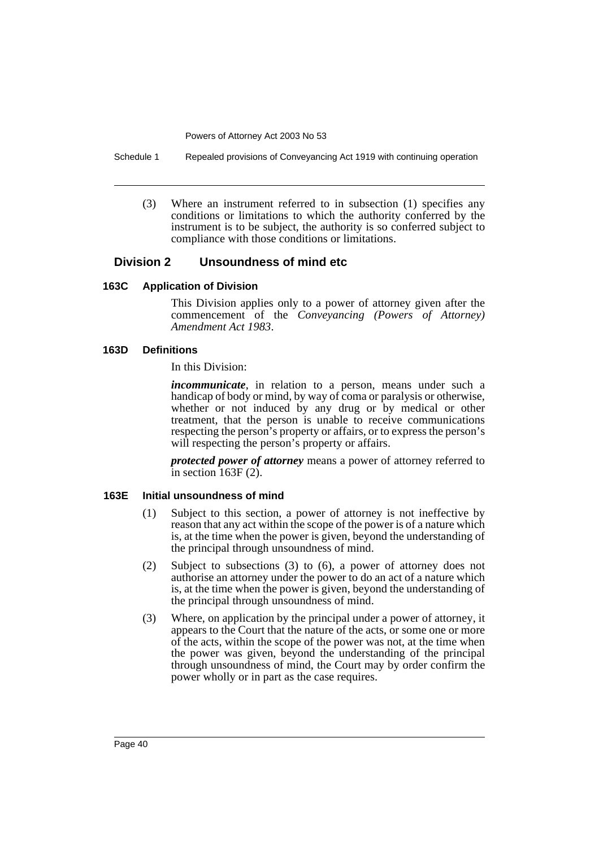Schedule 1 Repealed provisions of Conveyancing Act 1919 with continuing operation

(3) Where an instrument referred to in subsection (1) specifies any conditions or limitations to which the authority conferred by the instrument is to be subject, the authority is so conferred subject to compliance with those conditions or limitations.

#### **Division 2 Unsoundness of mind etc**

#### **163C Application of Division**

This Division applies only to a power of attorney given after the commencement of the *Conveyancing (Powers of Attorney) Amendment Act 1983*.

#### **163D Definitions**

In this Division:

*incommunicate*, in relation to a person, means under such a handicap of body or mind, by way of coma or paralysis or otherwise, whether or not induced by any drug or by medical or other treatment, that the person is unable to receive communications respecting the person's property or affairs, or to express the person's will respecting the person's property or affairs.

*protected power of attorney* means a power of attorney referred to in section  $163F(2)$ .

#### **163E Initial unsoundness of mind**

- (1) Subject to this section, a power of attorney is not ineffective by reason that any act within the scope of the power is of a nature which is, at the time when the power is given, beyond the understanding of the principal through unsoundness of mind.
- (2) Subject to subsections (3) to (6), a power of attorney does not authorise an attorney under the power to do an act of a nature which is, at the time when the power is given, beyond the understanding of the principal through unsoundness of mind.
- (3) Where, on application by the principal under a power of attorney, it appears to the Court that the nature of the acts, or some one or more of the acts, within the scope of the power was not, at the time when the power was given, beyond the understanding of the principal through unsoundness of mind, the Court may by order confirm the power wholly or in part as the case requires.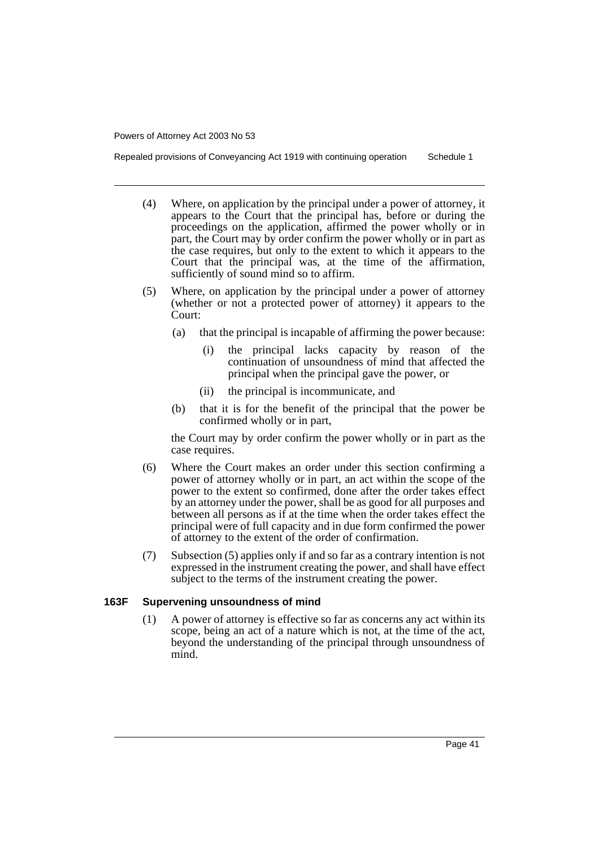Repealed provisions of Conveyancing Act 1919 with continuing operation Schedule 1

- (4) Where, on application by the principal under a power of attorney, it appears to the Court that the principal has, before or during the proceedings on the application, affirmed the power wholly or in part, the Court may by order confirm the power wholly or in part as the case requires, but only to the extent to which it appears to the Court that the principal was, at the time of the affirmation, sufficiently of sound mind so to affirm.
- (5) Where, on application by the principal under a power of attorney (whether or not a protected power of attorney) it appears to the Court:
	- (a) that the principal is incapable of affirming the power because:
		- the principal lacks capacity by reason of the continuation of unsoundness of mind that affected the principal when the principal gave the power, or
		- (ii) the principal is incommunicate, and
	- (b) that it is for the benefit of the principal that the power be confirmed wholly or in part,

the Court may by order confirm the power wholly or in part as the case requires.

- (6) Where the Court makes an order under this section confirming a power of attorney wholly or in part, an act within the scope of the power to the extent so confirmed, done after the order takes effect by an attorney under the power, shall be as good for all purposes and between all persons as if at the time when the order takes effect the principal were of full capacity and in due form confirmed the power of attorney to the extent of the order of confirmation.
- (7) Subsection (5) applies only if and so far as a contrary intention is not expressed in the instrument creating the power, and shall have effect subject to the terms of the instrument creating the power.

#### **163F Supervening unsoundness of mind**

(1) A power of attorney is effective so far as concerns any act within its scope, being an act of a nature which is not, at the time of the act, beyond the understanding of the principal through unsoundness of mind.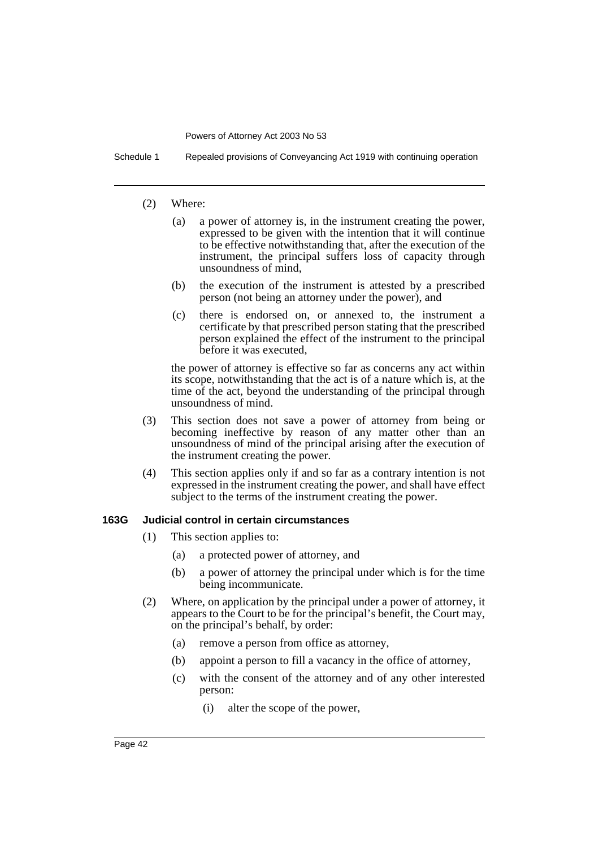Schedule 1 Repealed provisions of Conveyancing Act 1919 with continuing operation

#### (2) Where:

- (a) a power of attorney is, in the instrument creating the power, expressed to be given with the intention that it will continue to be effective notwithstanding that, after the execution of the instrument, the principal suffers loss of capacity through unsoundness of mind,
- (b) the execution of the instrument is attested by a prescribed person (not being an attorney under the power), and
- (c) there is endorsed on, or annexed to, the instrument a certificate by that prescribed person stating that the prescribed person explained the effect of the instrument to the principal before it was executed,

the power of attorney is effective so far as concerns any act within its scope, notwithstanding that the act is of a nature which is, at the time of the act, beyond the understanding of the principal through unsoundness of mind.

- (3) This section does not save a power of attorney from being or becoming ineffective by reason of any matter other than an unsoundness of mind of the principal arising after the execution of the instrument creating the power.
- (4) This section applies only if and so far as a contrary intention is not expressed in the instrument creating the power, and shall have effect subject to the terms of the instrument creating the power.

#### **163G Judicial control in certain circumstances**

- (1) This section applies to:
	- (a) a protected power of attorney, and
	- (b) a power of attorney the principal under which is for the time being incommunicate.
- (2) Where, on application by the principal under a power of attorney, it appears to the Court to be for the principal's benefit, the Court may, on the principal's behalf, by order:
	- (a) remove a person from office as attorney,
	- (b) appoint a person to fill a vacancy in the office of attorney,
	- (c) with the consent of the attorney and of any other interested person:
		- (i) alter the scope of the power,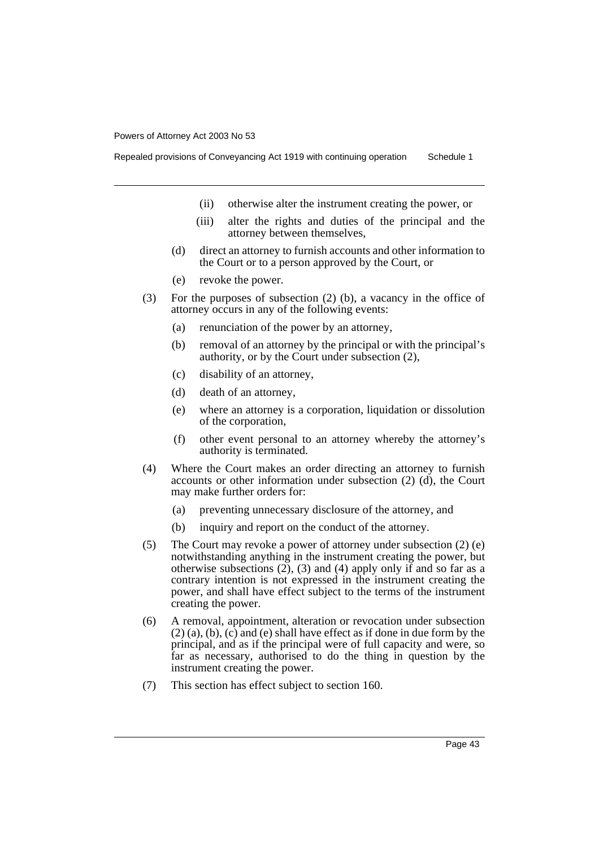Repealed provisions of Conveyancing Act 1919 with continuing operation Schedule 1

- (ii) otherwise alter the instrument creating the power, or
- (iii) alter the rights and duties of the principal and the attorney between themselves,
- (d) direct an attorney to furnish accounts and other information to the Court or to a person approved by the Court, or
- (e) revoke the power.
- (3) For the purposes of subsection (2) (b), a vacancy in the office of attorney occurs in any of the following events:
	- (a) renunciation of the power by an attorney,
	- (b) removal of an attorney by the principal or with the principal's authority, or by the Court under subsection (2),
	- (c) disability of an attorney,
	- (d) death of an attorney,
	- (e) where an attorney is a corporation, liquidation or dissolution of the corporation,
	- (f) other event personal to an attorney whereby the attorney's authority is terminated.
- (4) Where the Court makes an order directing an attorney to furnish accounts or other information under subsection (2) (d), the Court may make further orders for:
	- (a) preventing unnecessary disclosure of the attorney, and
	- (b) inquiry and report on the conduct of the attorney.
- (5) The Court may revoke a power of attorney under subsection (2) (e) notwithstanding anything in the instrument creating the power, but otherwise subsections  $(2)$ ,  $(3)$  and  $(4)$  apply only if and so far as a contrary intention is not expressed in the instrument creating the power, and shall have effect subject to the terms of the instrument creating the power.
- (6) A removal, appointment, alteration or revocation under subsection (2) (a), (b), (c) and (e) shall have effect as if done in due form by the principal, and as if the principal were of full capacity and were, so far as necessary, authorised to do the thing in question by the instrument creating the power.
- (7) This section has effect subject to section 160.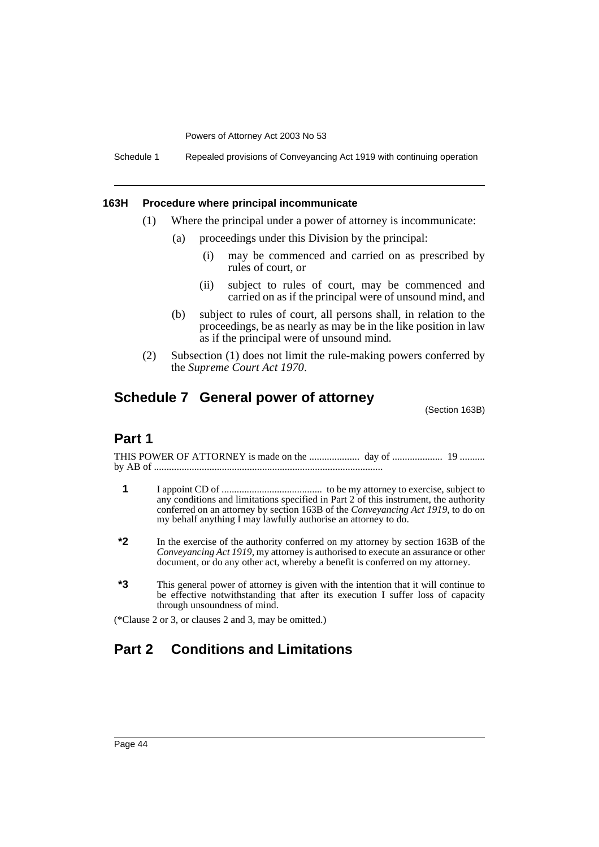Schedule 1 Repealed provisions of Conveyancing Act 1919 with continuing operation

#### **163H Procedure where principal incommunicate**

- (1) Where the principal under a power of attorney is incommunicate:
	- (a) proceedings under this Division by the principal:
		- (i) may be commenced and carried on as prescribed by rules of court, or
		- (ii) subject to rules of court, may be commenced and carried on as if the principal were of unsound mind, and
	- (b) subject to rules of court, all persons shall, in relation to the proceedings, be as nearly as may be in the like position in law as if the principal were of unsound mind.
- (2) Subsection (1) does not limit the rule-making powers conferred by the *Supreme Court Act 1970*.

### **Schedule 7 General power of attorney**

(Section 163B)

### **Part 1**

THIS POWER OF ATTORNEY is made on the .................... day of .................... 19 .......... by AB of ...........................................................................................

- **1** I appoint CD of ........................................ to be my attorney to exercise, subject to any conditions and limitations specified in Part 2 of this instrument, the authority conferred on an attorney by section 163B of the *Conveyancing Act 1919*, to do on my behalf anything I may lawfully authorise an attorney to do.
- **\*2** In the exercise of the authority conferred on my attorney by section 163B of the *Conveyancing Act 1919*, my attorney is authorised to execute an assurance or other document, or do any other act, whereby a benefit is conferred on my attorney.
- **\*3** This general power of attorney is given with the intention that it will continue to be effective notwithstanding that after its execution I suffer loss of capacity through unsoundness of mind.

(\*Clause 2 or 3, or clauses 2 and 3, may be omitted.)

## **Part 2 Conditions and Limitations**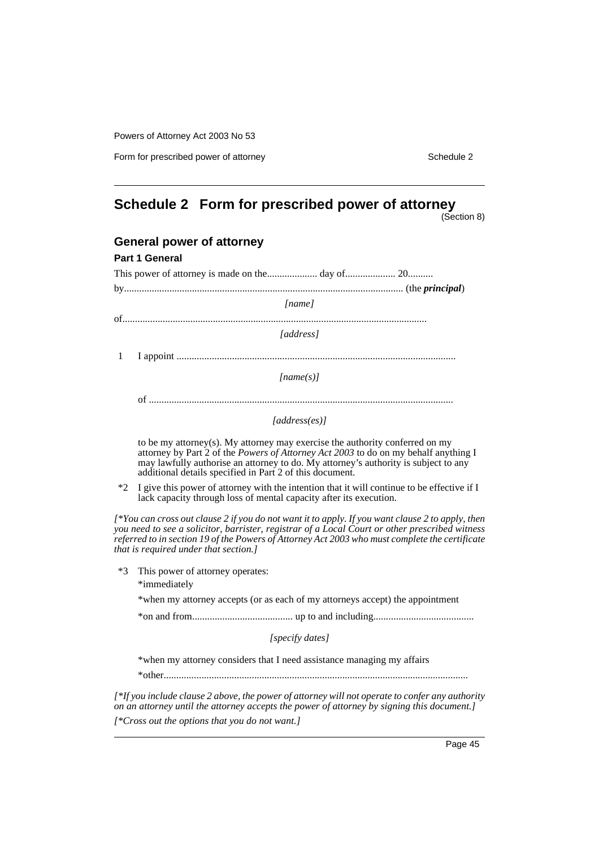Form for prescribed power of attorney Schedule 2

## **Schedule 2 Form for prescribed power of attorney**

(Section 8)

|   | <b>General power of attorney</b>                                             |
|---|------------------------------------------------------------------------------|
|   | <b>Part 1 General</b>                                                        |
|   |                                                                              |
|   |                                                                              |
|   | [name]                                                                       |
|   |                                                                              |
|   | <i>ddress</i> l                                                              |
| 1 |                                                                              |
|   | [name(s)]                                                                    |
|   |                                                                              |
|   | [address(es)]                                                                |
|   | to be my attornay(s). My attornay may evergise the authority conferred on my |

to be my attorney(s). My attorney may exercise the authority conferred on my attorney by Part 2 of the *Powers of Attorney Act 2003* to do on my behalf anything I may lawfully authorise an attorney to do. My attorney's authority is subject to any additional details specified in Part 2 of this document.

\*2 I give this power of attorney with the intention that it will continue to be effective if I lack capacity through loss of mental capacity after its execution.

*[\*You can cross out clause 2 if you do not want it to apply. If you want clause 2 to apply, then you need to see a solicitor, barrister, registrar of a Local Court or other prescribed witness referred to in section 19 of the Powers of Attorney Act 2003 who must complete the certificate that is required under that section.]*

\*3 This power of attorney operates:

\*immediately

\*when my attorney accepts (or as each of my attorneys accept) the appointment

\*on and from........................................ up to and including........................................

*[specify dates]*

\*when my attorney considers that I need assistance managing my affairs

\*other.........................................................................................................................

*[\*If you include clause 2 above, the power of attorney will not operate to confer any authority on an attorney until the attorney accepts the power of attorney by signing this document.] [\*Cross out the options that you do not want.]*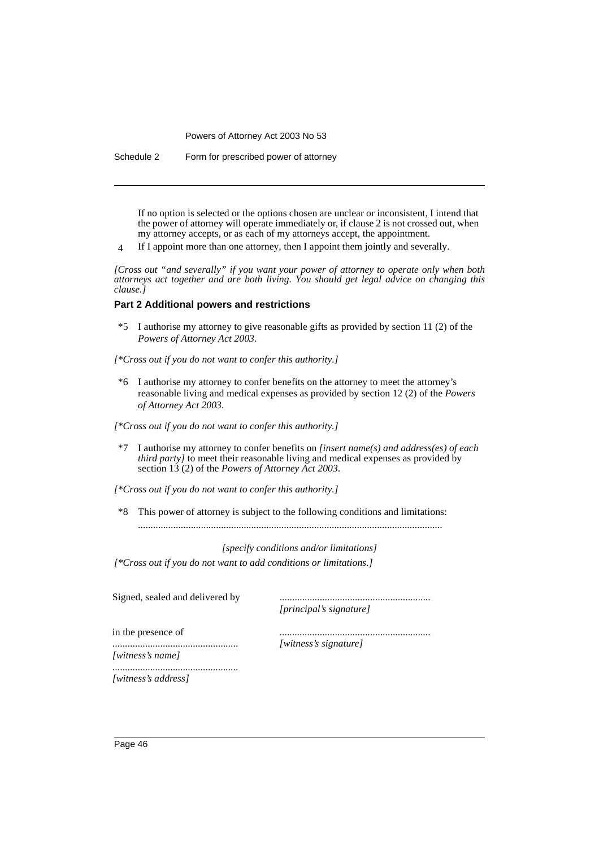Schedule 2 Form for prescribed power of attorney

If no option is selected or the options chosen are unclear or inconsistent, I intend that the power of attorney will operate immediately or, if clause 2 is not crossed out, when my attorney accepts, or as each of my attorneys accept, the appointment.

4 If I appoint more than one attorney, then I appoint them jointly and severally.

*[Cross out "and severally" if you want your power of attorney to operate only when both attorneys act together and are both living. You should get legal advice on changing this clause.]*

#### **Part 2 Additional powers and restrictions**

\*5 I authorise my attorney to give reasonable gifts as provided by section 11 (2) of the *Powers of Attorney Act 2003*.

*[\*Cross out if you do not want to confer this authority.]*

\*6 I authorise my attorney to confer benefits on the attorney to meet the attorney's reasonable living and medical expenses as provided by section 12 (2) of the *Powers of Attorney Act 2003*.

*[\*Cross out if you do not want to confer this authority.]*

- \*7 I authorise my attorney to confer benefits on *[insert name(s) and address(es) of each third party]* to meet their reasonable living and medical expenses as provided by section 13 (2) of the *Powers of Attorney Act 2003*.
- *[\*Cross out if you do not want to confer this authority.]*
- \*8 This power of attorney is subject to the following conditions and limitations: .........................................................................................................................

*[specify conditions and/or limitations]*

*[\*Cross out if you do not want to add conditions or limitations.]*

Signed, sealed and delivered by

..................................................

*[principal's signature]*

............................................................

in the presence of

*[witness's signature]*

*[witness's name]* ..................................................

*[witness's address]*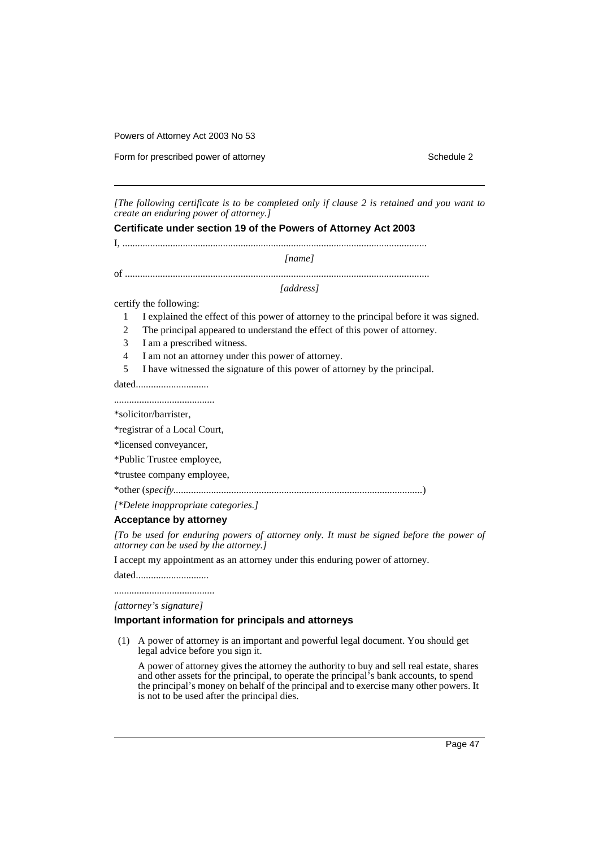Form for prescribed power of attorney Schedule 2

*[The following certificate is to be completed only if clause 2 is retained and you want to create an enduring power of attorney.]*

**Certificate under section 19 of the Powers of Attorney Act 2003**

I, ......................................................................................................................... *[name]*

of .........................................................................................................................

*[address]*

certify the following:

- 1 I explained the effect of this power of attorney to the principal before it was signed.
- 2 The principal appeared to understand the effect of this power of attorney.
- 3 I am a prescribed witness.
- 4 I am not an attorney under this power of attorney.
- 5 I have witnessed the signature of this power of attorney by the principal.

dated............................. ........................................

\*solicitor/barrister,

\*registrar of a Local Court,

\*licensed conveyancer,

\*Public Trustee employee,

\*trustee company employee,

\*other (*specify...................................................................................................*)

*[\*Delete inappropriate categories.]*

#### **Acceptance by attorney**

*[To be used for enduring powers of attorney only. It must be signed before the power of attorney can be used by the attorney.]*

I accept my appointment as an attorney under this enduring power of attorney.

dated............................. ........................................

*[attorney's signature]*

#### **Important information for principals and attorneys**

(1) A power of attorney is an important and powerful legal document. You should get legal advice before you sign it.

A power of attorney gives the attorney the authority to buy and sell real estate, shares and other assets for the principal, to operate the principal's bank accounts, to spend the principal's money on behalf of the principal and to exercise many other powers. It is not to be used after the principal dies.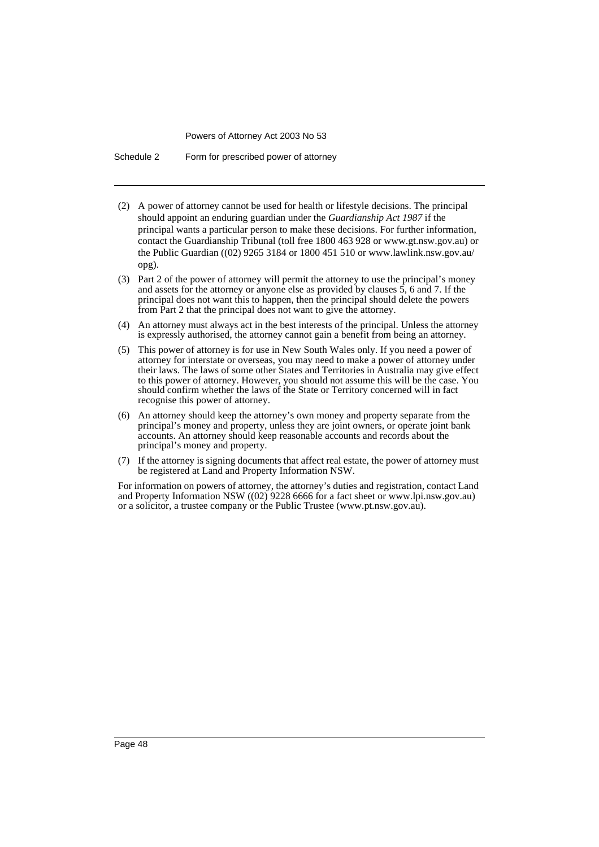Schedule 2 Form for prescribed power of attorney

- (2) A power of attorney cannot be used for health or lifestyle decisions. The principal should appoint an enduring guardian under the *Guardianship Act 1987* if the principal wants a particular person to make these decisions. For further information, contact the Guardianship Tribunal (toll free 1800 463 928 or www.gt.nsw.gov.au) or the Public Guardian ((02) 9265 3184 or 1800 451 510 or www.lawlink.nsw.gov.au/ opg).
- (3) Part 2 of the power of attorney will permit the attorney to use the principal's money and assets for the attorney or anyone else as provided by clauses  $\overline{5}$ , 6 and 7. If the principal does not want this to happen, then the principal should delete the powers from Part 2 that the principal does not want to give the attorney.
- (4) An attorney must always act in the best interests of the principal. Unless the attorney is expressly authorised, the attorney cannot gain a benefit from being an attorney.
- (5) This power of attorney is for use in New South Wales only. If you need a power of attorney for interstate or overseas, you may need to make a power of attorney under their laws. The laws of some other States and Territories in Australia may give effect to this power of attorney. However, you should not assume this will be the case. You should confirm whether the laws of the State or Territory concerned will in fact recognise this power of attorney.
- (6) An attorney should keep the attorney's own money and property separate from the principal's money and property, unless they are joint owners, or operate joint bank accounts. An attorney should keep reasonable accounts and records about the principal's money and property.
- (7) If the attorney is signing documents that affect real estate, the power of attorney must be registered at Land and Property Information NSW.

For information on powers of attorney, the attorney's duties and registration, contact Land and Property Information NSW ((02) 9228 6666 for a fact sheet or www.lpi.nsw.gov.au) or a solicitor, a trustee company or the Public Trustee (www.pt.nsw.gov.au).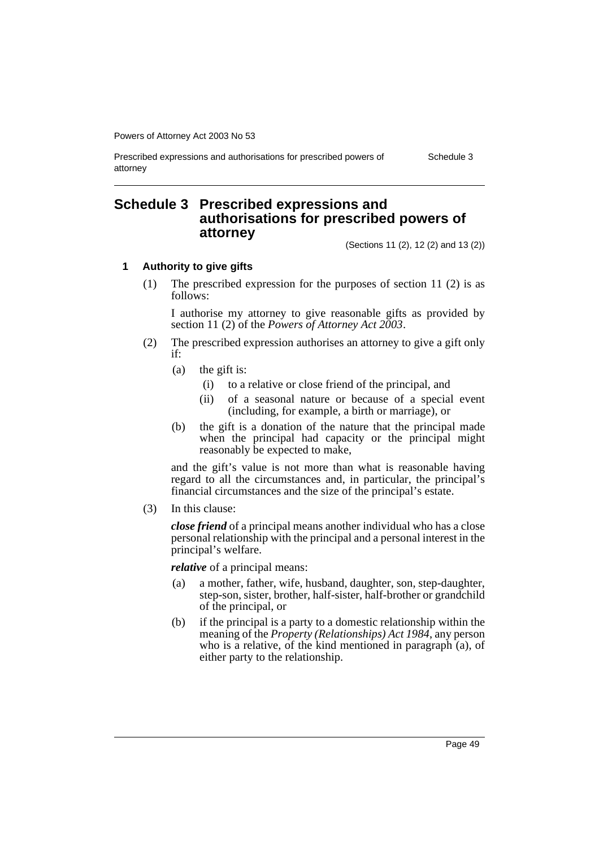Prescribed expressions and authorisations for prescribed powers of attorney Schedule 3

### **Schedule 3 Prescribed expressions and authorisations for prescribed powers of attorney**

(Sections 11 (2), 12 (2) and 13 (2))

#### **1 Authority to give gifts**

(1) The prescribed expression for the purposes of section 11 (2) is as follows:

I authorise my attorney to give reasonable gifts as provided by section 11 (2) of the *Powers of Attorney Act 2003*.

- (2) The prescribed expression authorises an attorney to give a gift only if:
	- (a) the gift is:
		- (i) to a relative or close friend of the principal, and
		- (ii) of a seasonal nature or because of a special event (including, for example, a birth or marriage), or
	- (b) the gift is a donation of the nature that the principal made when the principal had capacity or the principal might reasonably be expected to make,

and the gift's value is not more than what is reasonable having regard to all the circumstances and, in particular, the principal's financial circumstances and the size of the principal's estate.

(3) In this clause:

*close friend* of a principal means another individual who has a close personal relationship with the principal and a personal interest in the principal's welfare.

*relative* of a principal means:

- (a) a mother, father, wife, husband, daughter, son, step-daughter, step-son, sister, brother, half-sister, half-brother or grandchild of the principal, or
- (b) if the principal is a party to a domestic relationship within the meaning of the *Property (Relationships) Act 1984*, any person who is a relative, of the kind mentioned in paragraph (a), of either party to the relationship.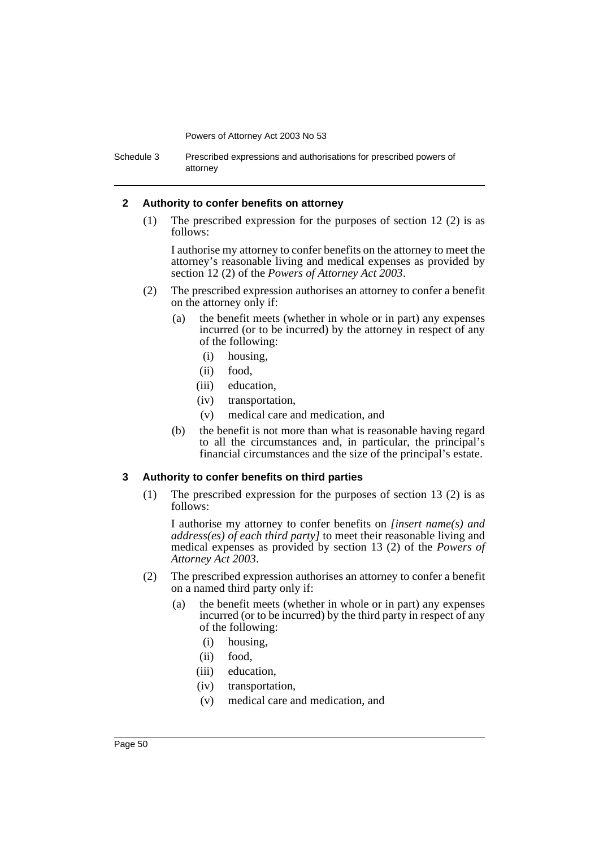Schedule 3 Prescribed expressions and authorisations for prescribed powers of attorney

#### **2 Authority to confer benefits on attorney**

(1) The prescribed expression for the purposes of section 12 (2) is as follows:

I authorise my attorney to confer benefits on the attorney to meet the attorney's reasonable living and medical expenses as provided by section 12 (2) of the *Powers of Attorney Act 2003*.

- (2) The prescribed expression authorises an attorney to confer a benefit on the attorney only if:
	- (a) the benefit meets (whether in whole or in part) any expenses incurred (or to be incurred) by the attorney in respect of any of the following:
		- (i) housing,
		- (ii) food,
		- (iii) education,
		- (iv) transportation,
		- (v) medical care and medication, and
	- (b) the benefit is not more than what is reasonable having regard to all the circumstances and, in particular, the principal's financial circumstances and the size of the principal's estate.

#### **3 Authority to confer benefits on third parties**

(1) The prescribed expression for the purposes of section 13 (2) is as follows:

I authorise my attorney to confer benefits on *[insert name(s) and address(es) of each third party]* to meet their reasonable living and medical expenses as provided by section 13 (2) of the *Powers of Attorney Act 2003*.

- (2) The prescribed expression authorises an attorney to confer a benefit on a named third party only if:
	- (a) the benefit meets (whether in whole or in part) any expenses incurred (or to be incurred) by the third party in respect of any of the following:
		- (i) housing,
		- (ii) food,
		- (iii) education,
		- (iv) transportation,
		- (v) medical care and medication, and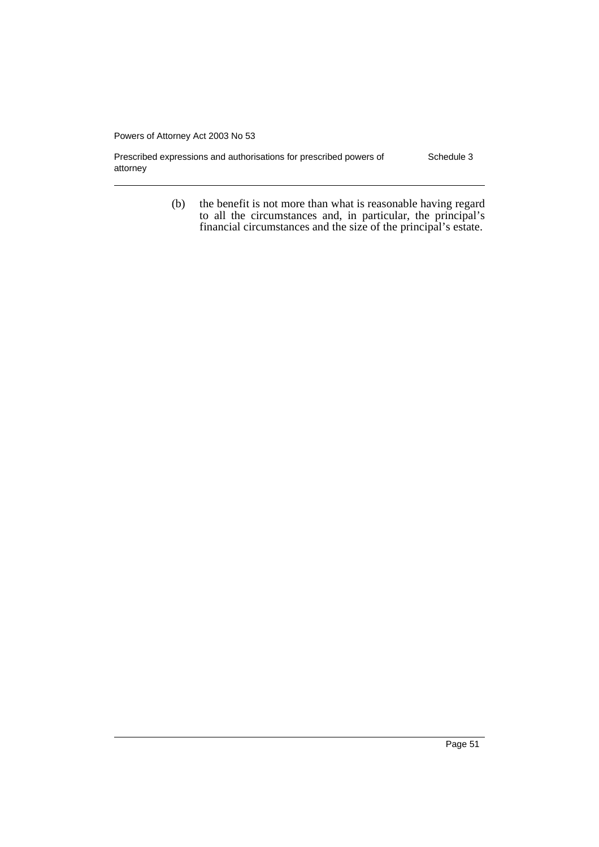Prescribed expressions and authorisations for prescribed powers of attorney Schedule 3

> (b) the benefit is not more than what is reasonable having regard to all the circumstances and, in particular, the principal's financial circumstances and the size of the principal's estate.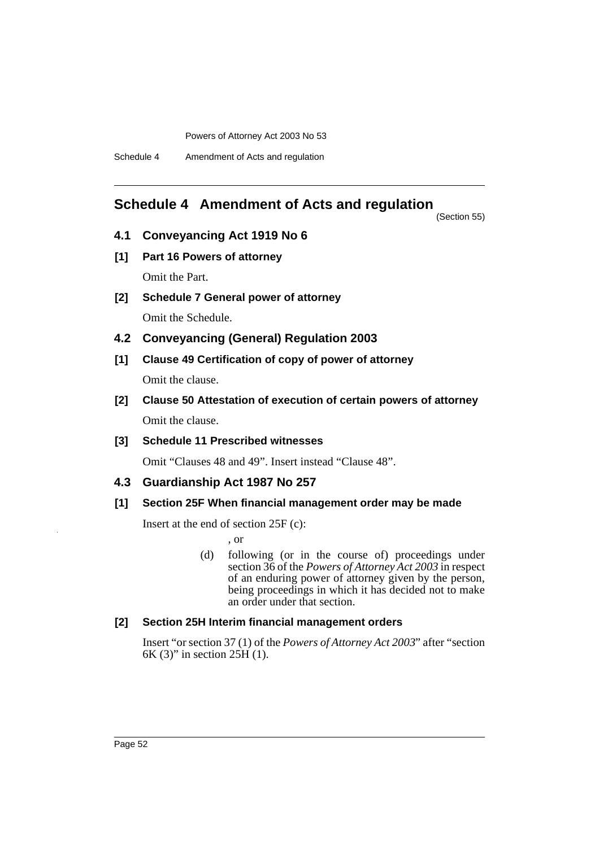### **Schedule 4 Amendment of Acts and regulation**

(Section 55)

- **4.1 Conveyancing Act 1919 No 6**
- **[1] Part 16 Powers of attorney** Omit the Part.
- **[2] Schedule 7 General power of attorney** Omit the Schedule.
- **4.2 Conveyancing (General) Regulation 2003**
- **[1] Clause 49 Certification of copy of power of attorney**

Omit the clause.

- **[2] Clause 50 Attestation of execution of certain powers of attorney** Omit the clause.
- **[3] Schedule 11 Prescribed witnesses**

Omit "Clauses 48 and 49". Insert instead "Clause 48".

#### **4.3 Guardianship Act 1987 No 257**

#### **[1] Section 25F When financial management order may be made**

Insert at the end of section 25F (c):

, or

(d) following (or in the course of) proceedings under section 36 of the *Powers of Attorney Act 2003* in respect of an enduring power of attorney given by the person, being proceedings in which it has decided not to make an order under that section.

#### **[2] Section 25H Interim financial management orders**

Insert "or section 37 (1) of the *Powers of Attorney Act 2003*" after "section 6K (3)" in section  $25\text{H}$  (1).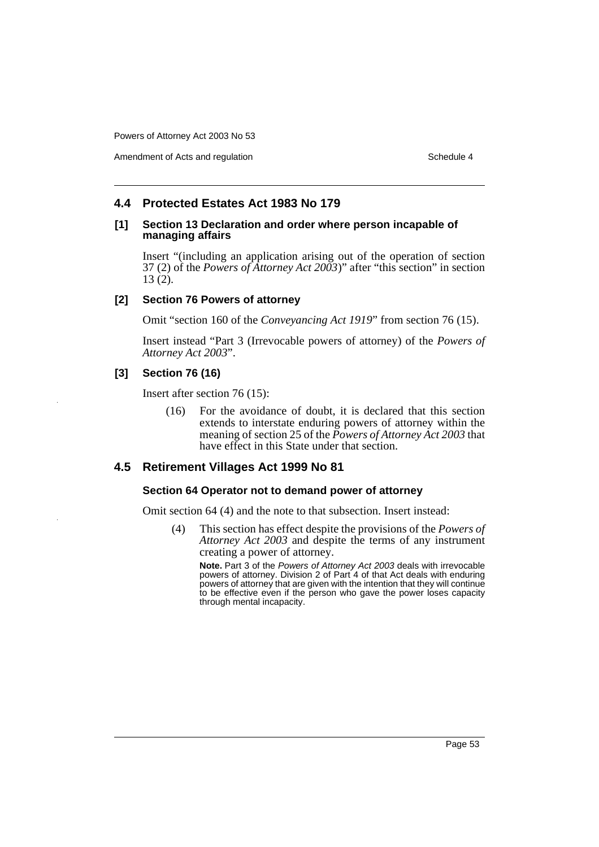Amendment of Acts and regulation Schedule 4

#### **4.4 Protected Estates Act 1983 No 179**

#### **[1] Section 13 Declaration and order where person incapable of managing affairs**

Insert "(including an application arising out of the operation of section 37 (2) of the *Powers of Attorney Act 2003*)" after "this section" in section 13 (2).

#### **[2] Section 76 Powers of attorney**

Omit "section 160 of the *Conveyancing Act 1919*" from section 76 (15).

Insert instead "Part 3 (Irrevocable powers of attorney) of the *Powers of Attorney Act 2003*".

#### **[3] Section 76 (16)**

Insert after section 76 (15):

(16) For the avoidance of doubt, it is declared that this section extends to interstate enduring powers of attorney within the meaning of section 25 of the *Powers of Attorney Act 2003* that have effect in this State under that section.

#### **4.5 Retirement Villages Act 1999 No 81**

#### **Section 64 Operator not to demand power of attorney**

Omit section 64 (4) and the note to that subsection. Insert instead:

(4) This section has effect despite the provisions of the *Powers of Attorney Act 2003* and despite the terms of any instrument creating a power of attorney.

**Note.** Part 3 of the Powers of Attorney Act 2003 deals with irrevocable powers of attorney. Division 2 of Part 4 of that Act deals with enduring powers of attorney that are given with the intention that they will continue to be effective even if the person who gave the power loses capacity through mental incapacity.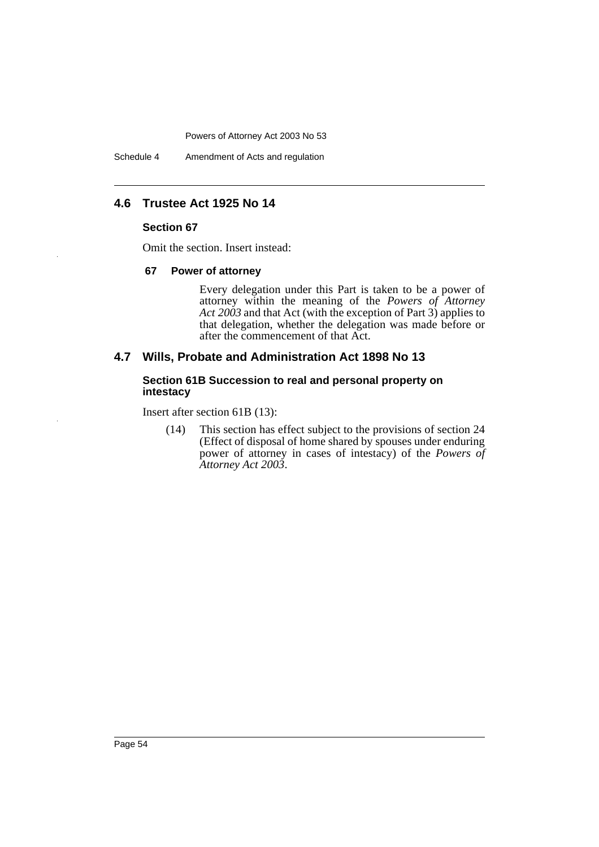Schedule 4 Amendment of Acts and regulation

### **4.6 Trustee Act 1925 No 14**

#### **Section 67**

Omit the section. Insert instead:

#### **67 Power of attorney**

Every delegation under this Part is taken to be a power of attorney within the meaning of the *Powers of Attorney Act 2003* and that Act (with the exception of Part 3) applies to that delegation, whether the delegation was made before or after the commencement of that Act.

#### **4.7 Wills, Probate and Administration Act 1898 No 13**

#### **Section 61B Succession to real and personal property on intestacy**

Insert after section 61B (13):

(14) This section has effect subject to the provisions of section 24 (Effect of disposal of home shared by spouses under enduring power of attorney in cases of intestacy) of the *Powers of Attorney Act 2003*.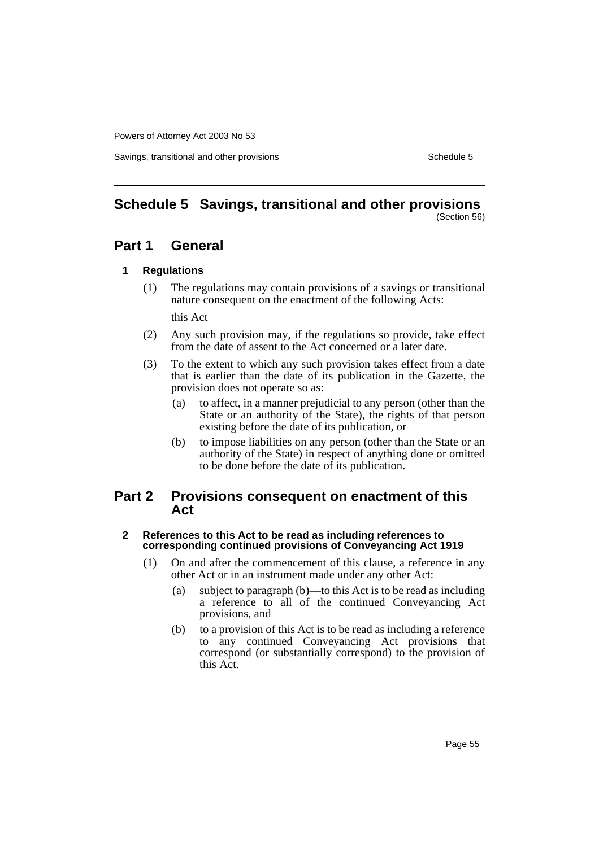Savings, transitional and other provisions Schedule 5 Schedule 5

#### **Schedule 5 Savings, transitional and other provisions** (Section 56)

### **Part 1 General**

#### **1 Regulations**

(1) The regulations may contain provisions of a savings or transitional nature consequent on the enactment of the following Acts:

this Act

- (2) Any such provision may, if the regulations so provide, take effect from the date of assent to the Act concerned or a later date.
- (3) To the extent to which any such provision takes effect from a date that is earlier than the date of its publication in the Gazette, the provision does not operate so as:
	- (a) to affect, in a manner prejudicial to any person (other than the State or an authority of the State), the rights of that person existing before the date of its publication, or
	- (b) to impose liabilities on any person (other than the State or an authority of the State) in respect of anything done or omitted to be done before the date of its publication.

### **Part 2 Provisions consequent on enactment of this Act**

#### **2 References to this Act to be read as including references to corresponding continued provisions of Conveyancing Act 1919**

- (1) On and after the commencement of this clause, a reference in any other Act or in an instrument made under any other Act:
	- (a) subject to paragraph (b)—to this Act is to be read as including a reference to all of the continued Conveyancing Act provisions, and
	- (b) to a provision of this Act is to be read as including a reference to any continued Conveyancing Act provisions that correspond (or substantially correspond) to the provision of this Act.